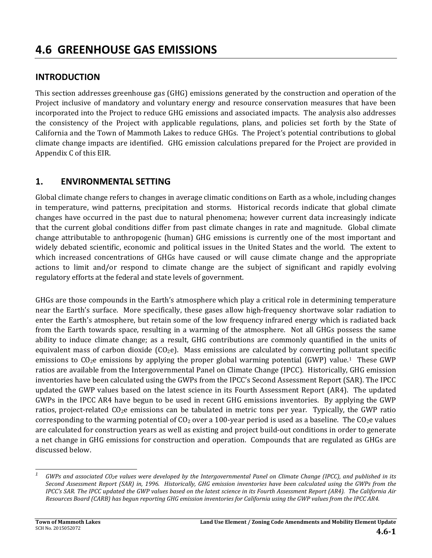# **4.6 GREENHOUSE GAS EMISSIONS**

# **INTRODUCTION**

This section addresses greenhouse gas (GHG) emissions generated by the construction and operation of the Project inclusive of mandatory and voluntary energy and resource conservation measures that have been incorporated into the Project to reduce GHG emissions and associated impacts. The analysis also addresses the consistency of the Project with applicable regulations, plans, and policies set forth by the State of California and the Town of Mammoth Lakes to reduce GHGs. The Project's potential contributions to global climate change impacts are identified. GHG emission calculations prepared for the Project are provided in Appendix C of this EIR.

# **1. ENVIRONMENTAL SETTING**

Global climate change refers to changes in average climatic conditions on Earth as a whole, including changes in temperature, wind patterns, precipitation and storms. Historical records indicate that global climate changes have occurred in the past due to natural phenomena; however current data increasingly indicate that the current global conditions differ from past climate changes in rate and magnitude. Global climate change attributable to anthropogenic (human) GHG emissions is currently one of the most important and widely debated scientific, economic and political issues in the United States and the world. The extent to which increased concentrations of GHGs have caused or will cause climate change and the appropriate actions to limit and/or respond to climate change are the subject of significant and rapidly evolving regulatory efforts at the federal and state levels of government.

GHGs are those compounds in the Earth's atmosphere which play a critical role in determining temperature near the Earth's surface. More specifically, these gases allow high-frequency shortwave solar radiation to enter the Earth's atmosphere, but retain some of the low frequency infrared energy which is radiated back from the Earth towards space, resulting in a warming of the atmosphere. Not all GHGs possess the same ability to induce climate change; as a result, GHG contributions are commonly quantified in the units of equivalent mass of carbon dioxide  $(CO_2e)$ . Mass emissions are calculated by converting pollutant specific emissions to  $CO<sub>2</sub>e$  emissions by applying the proper global warming potential (GWP) value.<sup>1</sup> These GWP ratios are available from the Intergovernmental Panel on Climate Change (IPCC). Historically, GHG emission inventories have been calculated using the GWPs from the IPCC's Second Assessment Report (SAR). The IPCC updated the GWP values based on the latest science in its Fourth Assessment Report (AR4). The updated GWPs in the IPCC AR4 have begun to be used in recent GHG emissions inventories. By applying the GWP ratios, project-related  $CO<sub>2</sub>e$  emissions can be tabulated in metric tons per year. Typically, the GWP ratio corresponding to the warming potential of  $CO_2$  over a 100-year period is used as a baseline. The  $CO_2$ e values are calculated for construction years as well as existing and project build-out conditions in order to generate a net change in GHG emissions for construction and operation. Compounds that are regulated as GHGs are discussed below.

*<sup>1</sup>* GWPs and associated CO<sub>2</sub>e values were developed by the Intergovernmental Panel on Climate Change (IPCC), and published in its Second Assessment Report (SAR) in, 1996. Historically, GHG emission inventories have been calculated using the GWPs from the IPCC's SAR. The IPCC updated the GWP values based on the latest science in its Fourth Assessment Report (AR4). The California Air Resources Board (CARB) has begun reporting GHG emission inventories for California using the GWP values from the IPCC AR4.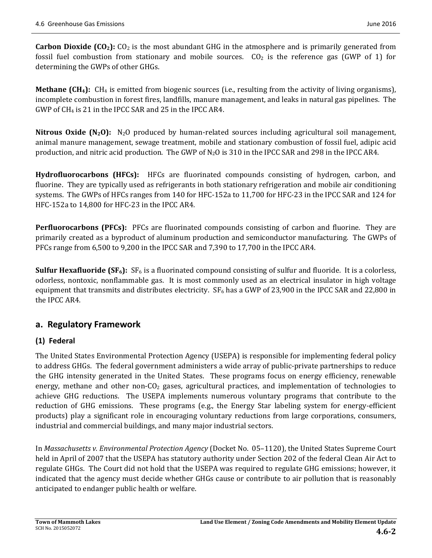**Carbon Dioxide**  $[CO_2]$ **:**  $CO_2$  is the most abundant GHG in the atmosphere and is primarily generated from fossil fuel combustion from stationary and mobile sources.  $CO<sub>2</sub>$  is the reference gas (GWP of 1) for determining the GWPs of other GHGs.

**Methane** (CH<sub>4</sub>): CH<sub>4</sub> is emitted from biogenic sources (i.e., resulting from the activity of living organisms), incomplete combustion in forest fires, landfills, manure management, and leaks in natural gas pipelines. The GWP of  $CH_4$  is 21 in the IPCC SAR and 25 in the IPCC AR4.

**Nitrous Oxide**  $(N_2O)$ **:**  $N_2O$  produced by human-related sources including agricultural soil management, animal manure management, sewage treatment, mobile and stationary combustion of fossil fuel, adipic acid production, and nitric acid production. The GWP of  $N_2O$  is 310 in the IPCC SAR and 298 in the IPCC AR4.

Hydrofluorocarbons (HFCs): HFCs are fluorinated compounds consisting of hydrogen, carbon, and fluorine. They are typically used as refrigerants in both stationary refrigeration and mobile air conditioning systems. The GWPs of HFCs ranges from 140 for HFC-152a to 11,700 for HFC-23 in the IPCC SAR and 124 for HFC-152a to 14,800 for HFC-23 in the IPCC AR4.

**Perfluorocarbons (PFCs):** PFCs are fluorinated compounds consisting of carbon and fluorine. They are primarily created as a byproduct of aluminum production and semiconductor manufacturing. The GWPs of PFCs range from  $6,500$  to  $9,200$  in the IPCC SAR and  $7,390$  to  $17,700$  in the IPCC AR4.

**Sulfur Hexafluoride (SF<sub>6</sub>):**  $SF_6$  is a fluorinated compound consisting of sulfur and fluoride. It is a colorless, odorless, nontoxic, nonflammable gas. It is most commonly used as an electrical insulator in high voltage equipment that transmits and distributes electricity.  $SF_6$  has a GWP of 23,900 in the IPCC SAR and 22,800 in the IPCC AR4.

# **a. Regulatory Framework**

# **(1) Federal**

The United States Environmental Protection Agency (USEPA) is responsible for implementing federal policy to address GHGs. The federal government administers a wide array of public-private partnerships to reduce the GHG intensity generated in the United States. These programs focus on energy efficiency, renewable energy, methane and other non-CO<sub>2</sub> gases, agricultural practices, and implementation of technologies to achieve GHG reductions. The USEPA implements numerous voluntary programs that contribute to the reduction of GHG emissions. These programs (e.g., the Energy Star labeling system for energy-efficient products) play a significant role in encouraging voluntary reductions from large corporations, consumers, industrial and commercial buildings, and many major industrial sectors.

In *Massachusetts v. Environmental Protection Agency* (Docket No. 05–1120), the United States Supreme Court held in April of 2007 that the USEPA has statutory authority under Section 202 of the federal Clean Air Act to regulate GHGs. The Court did not hold that the USEPA was required to regulate GHG emissions; however, it indicated that the agency must decide whether GHGs cause or contribute to air pollution that is reasonably anticipated to endanger public health or welfare.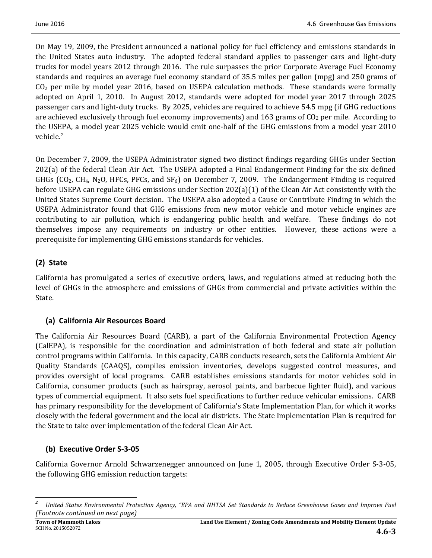On May 19, 2009, the President announced a national policy for fuel efficiency and emissions standards in the United States auto industry. The adopted federal standard applies to passenger cars and light-duty trucks for model years 2012 through 2016. The rule surpasses the prior Corporate Average Fuel Economy standards and requires an average fuel economy standard of 35.5 miles per gallon (mpg) and 250 grams of  $CO<sub>2</sub>$  per mile by model year 2016, based on USEPA calculation methods. These standards were formally adopted on April 1, 2010. In August 2012, standards were adopted for model year 2017 through 2025 passenger cars and light-duty trucks. By 2025, vehicles are required to achieve 54.5 mpg (if GHG reductions are achieved exclusively through fuel economy improvements) and 163 grams of  $CO<sub>2</sub>$  per mile. According to the USEPA, a model year 2025 vehicle would emit one-half of the GHG emissions from a model year 2010 vehicle.<sup>2</sup>

On December 7, 2009, the USEPA Administrator signed two distinct findings regarding GHGs under Section 202(a) of the federal Clean Air Act. The USEPA adopted a Final Endangerment Finding for the six defined GHGs  $(CO_2, CH_4, N_2O, HFCs, PFCs, and SF_6)$  on December 7, 2009. The Endangerment Finding is required before USEPA can regulate GHG emissions under Section 202(a)(1) of the Clean Air Act consistently with the United States Supreme Court decision. The USEPA also adopted a Cause or Contribute Finding in which the USEPA Administrator found that GHG emissions from new motor vehicle and motor vehicle engines are contributing to air pollution, which is endangering public health and welfare. These findings do not themselves impose any requirements on industry or other entities. However, these actions were a prerequisite for implementing GHG emissions standards for vehicles.

# **(2) State**

California has promulgated a series of executive orders, laws, and regulations aimed at reducing both the level of GHGs in the atmosphere and emissions of GHGs from commercial and private activities within the State. 

# **(a) California Air Resources Board**

The California Air Resources Board (CARB), a part of the California Environmental Protection Agency (CalEPA), is responsible for the coordination and administration of both federal and state air pollution control programs within California. In this capacity, CARB conducts research, sets the California Ambient Air Quality Standards (CAAQS), compiles emission inventories, develops suggested control measures, and provides oversight of local programs. CARB establishes emissions standards for motor vehicles sold in California, consumer products (such as hairspray, aerosol paints, and barbecue lighter fluid), and various types of commercial equipment. It also sets fuel specifications to further reduce vehicular emissions. CARB has primary responsibility for the development of California's State Implementation Plan, for which it works closely with the federal government and the local air districts. The State Implementation Plan is required for the State to take over implementation of the federal Clean Air Act.

# **(b) Executive Order S‐3‐05**

California Governor Arnold Schwarzenegger announced on June 1, 2005, through Executive Order S-3-05, the following GHG emission reduction targets:

<sup>&</sup>lt;u> 1989 - Johann Stein, fransk politik (d. 1989)</u> *2* United States Environmental Protection Agency, "EPA and NHTSA Set Standards to Reduce Greenhouse Gases and Improve Fuel *(Footnote continued on next page)*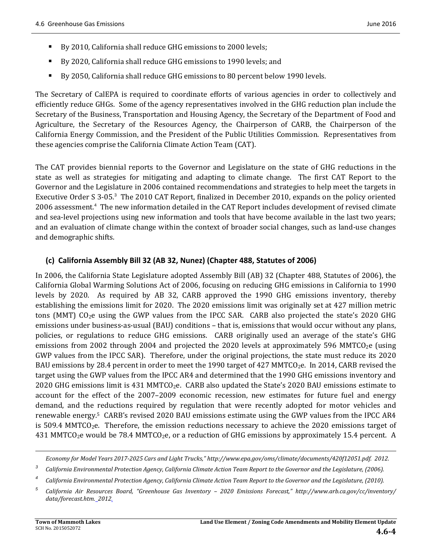- By 2010, California shall reduce GHG emissions to 2000 levels;
- By 2020, California shall reduce GHG emissions to 1990 levels; and
- By 2050, California shall reduce GHG emissions to 80 percent below 1990 levels.

The Secretary of CalEPA is required to coordinate efforts of various agencies in order to collectively and efficiently reduce GHGs. Some of the agency representatives involved in the GHG reduction plan include the Secretary of the Business, Transportation and Housing Agency, the Secretary of the Department of Food and Agriculture, the Secretary of the Resources Agency, the Chairperson of CARB, the Chairperson of the California Energy Commission, and the President of the Public Utilities Commission. Representatives from these agencies comprise the California Climate Action Team (CAT).

The CAT provides biennial reports to the Governor and Legislature on the state of GHG reductions in the state as well as strategies for mitigating and adapting to climate change. The first CAT Report to the Governor and the Legislature in 2006 contained recommendations and strategies to help meet the targets in Executive Order S 3-05.<sup>3</sup> The 2010 CAT Report, finalized in December 2010, expands on the policy oriented 2006 assessment.<sup>4</sup> The new information detailed in the CAT Report includes development of revised climate and sea-level projections using new information and tools that have become available in the last two years; and an evaluation of climate change within the context of broader social changes, such as land-use changes and demographic shifts.

### **(c) California Assembly Bill 32 (AB 32, Nunez) (Chapter 488, Statutes of 2006)**

In 2006, the California State Legislature adopted Assembly Bill (AB) 32 (Chapter 488, Statutes of 2006), the California Global Warming Solutions Act of 2006, focusing on reducing GHG emissions in California to 1990 levels by 2020. As required by AB 32, CARB approved the 1990 GHG emissions inventory, thereby establishing the emissions limit for 2020. The 2020 emissions limit was originally set at 427 million metric tons (MMT)  $CO<sub>2</sub>e$  using the GWP values from the IPCC SAR. CARB also projected the state's 2020 GHG emissions under business-as-usual (BAU) conditions – that is, emissions that would occur without any plans, policies, or regulations to reduce GHG emissions. CARB originally used an average of the state's GHG emissions from  $2002$  through  $2004$  and projected the  $2020$  levels at approximately 596 MMTCO<sub>2</sub>e (using GWP values from the IPCC SAR). Therefore, under the original projections, the state must reduce its 2020 BAU emissions by 28.4 percent in order to meet the 1990 target of 427 MMTCO<sub>2</sub>e. In 2014, CARB revised the target using the GWP values from the IPCC AR4 and determined that the 1990 GHG emissions inventory and 2020 GHG emissions limit is 431 MMTCO<sub>2</sub>e. CARB also updated the State's 2020 BAU emissions estimate to account for the effect of the 2007–2009 economic recession, new estimates for future fuel and energy demand, and the reductions required by regulation that were recently adopted for motor vehicles and renewable energy.<sup>5</sup> CARB's revised 2020 BAU emissions estimate using the GWP values from the IPCC AR4 is  $509.4$  MMTCO<sub>2</sub>e. Therefore, the emission reductions necessary to achieve the  $2020$  emissions target of 431 MMTCO<sub>2</sub>e would be 78.4 MMTCO<sub>2</sub>e, or a reduction of GHG emissions by approximately 15.4 percent. A

<u> 1989 - Andrea Santa Andrea Andrea Andrea Andrea Andrea Andrea Andrea Andrea Andrea Andrea Andrea Andrea Andr</u> *Economy for Model Years 2017‐2025 Cars and Light Trucks," http://www.epa.gov/oms/climate/documents/420f12051.pdf. 2012.*

*<sup>3</sup>* California Environmental Protection Agency, California Climate Action Team Report to the Governor and the Legislature, (2006).

*<sup>4</sup>* California Environmental Protection Agency, California Climate Action Team Report to the Governor and the Legislature, (2010).

*<sup>5</sup> California Air Resources Board, "Greenhouse Gas Inventory – 2020 Emissions Forecast," http://www.arb.ca.gov/cc/inventory/ data/forecast.htm. 2012.*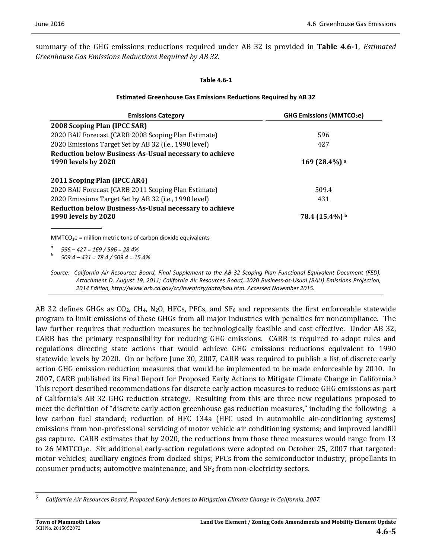summary of the GHG emissions reductions required under AB 32 is provided in **Table 4.6-1**, *Estimated Greenhouse Gas Emissions Reductions Required by AB 32*. 

#### **Table 4.6‐1**

#### **Estimated Greenhouse Gas Emissions Reductions Required by AB 32**

| <b>Emissions Category</b>                                                                                                                                                                                                                                                                                                                                     | GHG Emissions (MMTCO <sub>2</sub> e) |
|---------------------------------------------------------------------------------------------------------------------------------------------------------------------------------------------------------------------------------------------------------------------------------------------------------------------------------------------------------------|--------------------------------------|
| 2008 Scoping Plan (IPCC SAR)                                                                                                                                                                                                                                                                                                                                  |                                      |
| 2020 BAU Forecast (CARB 2008 Scoping Plan Estimate)                                                                                                                                                                                                                                                                                                           | 596                                  |
| 2020 Emissions Target Set by AB 32 (i.e., 1990 level)                                                                                                                                                                                                                                                                                                         | 427                                  |
| Reduction below Business-As-Usual necessary to achieve                                                                                                                                                                                                                                                                                                        |                                      |
| 1990 levels by 2020                                                                                                                                                                                                                                                                                                                                           | $169(28.4%)$ <sup>a</sup>            |
| 2011 Scoping Plan (IPCC AR4)                                                                                                                                                                                                                                                                                                                                  |                                      |
| 2020 BAU Forecast (CARB 2011 Scoping Plan Estimate)                                                                                                                                                                                                                                                                                                           | 509.4                                |
| 2020 Emissions Target Set by AB 32 (i.e., 1990 level)                                                                                                                                                                                                                                                                                                         | 431                                  |
| Reduction below Business-As-Usual necessary to achieve                                                                                                                                                                                                                                                                                                        |                                      |
| 1990 levels by 2020                                                                                                                                                                                                                                                                                                                                           | $78.4(15.4\%)$ <sup>b</sup>          |
|                                                                                                                                                                                                                                                                                                                                                               |                                      |
| $MMTCO2e$ = million metric tons of carbon dioxide equivalents                                                                                                                                                                                                                                                                                                 |                                      |
| $\theta$ = $\theta$ = $\theta$ = $\theta$ = $\theta$ = $\theta$ = $\theta$ = $\theta$ = $\theta$ = $\theta$ = $\theta$ = $\theta$ = $\theta$ = $\theta$ = $\theta$ = $\theta$ = $\theta$ = $\theta$ = $\theta$ = $\theta$ = $\theta$ = $\theta$ = $\theta$ = $\theta$ = $\theta$ = $\theta$ = $\theta$ = $\theta$ = $\theta$ = $\theta$ = $\theta$ = $\theta$ |                                      |

*<sup>a</sup> <sup>596</sup> – <sup>427</sup> <sup>=</sup> <sup>169</sup> / <sup>596</sup> <sup>=</sup> 28.4% <sup>b</sup> 509.4 – <sup>431</sup> <sup>=</sup> 78.4 / 509.4 <sup>=</sup> 15.4%* 

Source: California Air Resources Board, Final Supplement to the AB 32 Scoping Plan Functional Equivalent Document (FED), Attachment D, August 19, 2011; California Air Resources Board, 2020 Business-as-Usual (BAU) Emissions Projection, *2014 Edition, http://www.arb.ca.gov/cc/inventory/data/bau.htm. Accessed November 2015.*

AB 32 defines GHGs as  $CO<sub>2</sub>$ , CH<sub>4</sub>, N<sub>2</sub>O, HFCs, PFCs, and SF<sub>6</sub> and represents the first enforceable statewide program to limit emissions of these GHGs from all major industries with penalties for noncompliance. The law further requires that reduction measures be technologically feasible and cost effective. Under AB 32, CARB has the primary responsibility for reducing GHG emissions. CARB is required to adopt rules and regulations directing state actions that would achieve GHG emissions reductions equivalent to 1990 statewide levels by 2020. On or before June 30, 2007, CARB was required to publish a list of discrete early action GHG emission reduction measures that would be implemented to be made enforceable by 2010. In 2007, CARB published its Final Report for Proposed Early Actions to Mitigate Climate Change in California.<sup>6</sup> This report described recommendations for discrete early action measures to reduce GHG emissions as part of California's AB 32 GHG reduction strategy. Resulting from this are three new regulations proposed to meet the definition of "discrete early action greenhouse gas reduction measures," including the following: a low carbon fuel standard; reduction of HFC 134a (HFC used in automobile air-conditioning systems) emissions from non-professional servicing of motor vehicle air conditioning systems; and improved landfill gas capture. CARB estimates that by 2020, the reductions from those three measures would range from 13 to  $26$  MMTCO<sub>2</sub>e. Six additional early-action regulations were adopted on October 25, 2007 that targeted: motor vehicles; auxiliary engines from docked ships; PFCs from the semiconductor industry; propellants in consumer products; automotive maintenance; and  $SF_6$  from non-electricity sectors.

*<sup>6</sup> California Air Resources Board, Proposed Early Actions to Mitigation Climate Change in California, 2007.*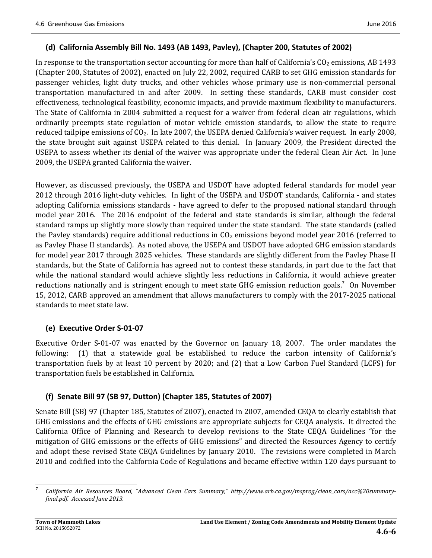### **(d) California Assembly Bill No. 1493 (AB 1493, Pavley), (Chapter 200, Statutes of 2002)**

In response to the transportation sector accounting for more than half of California's  $CO<sub>2</sub>$  emissions, AB 1493 (Chapter 200, Statutes of 2002), enacted on July 22, 2002, required CARB to set GHG emission standards for passenger vehicles, light duty trucks, and other vehicles whose primary use is non-commercial personal transportation manufactured in and after 2009. In setting these standards, CARB must consider cost effectiveness, technological feasibility, economic impacts, and provide maximum flexibility to manufacturers. The State of California in 2004 submitted a request for a waiver from federal clean air regulations, which ordinarily preempts state regulation of motor vehicle emission standards, to allow the state to require reduced tailpipe emissions of  $CO<sub>2</sub>$ . In late 2007, the USEPA denied California's waiver request. In early 2008, the state brought suit against USEPA related to this denial. In January 2009, the President directed the USEPA to assess whether its denial of the waiver was appropriate under the federal Clean Air Act. In June 2009, the USEPA granted California the waiver.

However, as discussed previously, the USEPA and USDOT have adopted federal standards for model year 2012 through 2016 light-duty vehicles. In light of the USEPA and USDOT standards, California - and states adopting California emissions standards - have agreed to defer to the proposed national standard through model year 2016. The 2016 endpoint of the federal and state standards is similar, although the federal standard ramps up slightly more slowly than required under the state standard. The state standards (called the Pavley standards) require additional reductions in  $CO<sub>2</sub>$  emissions beyond model year 2016 (referred to as Pavley Phase II standards). As noted above, the USEPA and USDOT have adopted GHG emission standards for model year 2017 through 2025 vehicles. These standards are slightly different from the Pavley Phase II standards, but the State of California has agreed not to contest these standards, in part due to the fact that while the national standard would achieve slightly less reductions in California, it would achieve greater reductions nationally and is stringent enough to meet state GHG emission reduction goals.<sup>7</sup> On November 15, 2012, CARB approved an amendment that allows manufacturers to comply with the 2017-2025 national standards to meet state law.

#### **(e) Executive Order S‐01‐07**

Executive Order S-01-07 was enacted by the Governor on January 18, 2007. The order mandates the following:  $(1)$  that a statewide goal be established to reduce the carbon intensity of California's transportation fuels by at least 10 percent by 2020; and  $(2)$  that a Low Carbon Fuel Standard (LCFS) for transportation fuels be established in California.

# **(f) Senate Bill 97 (SB 97, Dutton) (Chapter 185, Statutes of 2007)**

Senate Bill (SB) 97 (Chapter 185, Statutes of 2007), enacted in 2007, amended CEQA to clearly establish that GHG emissions and the effects of GHG emissions are appropriate subjects for CEQA analysis. It directed the California Office of Planning and Research to develop revisions to the State CEQA Guidelines "for the mitigation of GHG emissions or the effects of GHG emissions" and directed the Resources Agency to certify and adopt these revised State CEQA Guidelines by January 2010. The revisions were completed in March 2010 and codified into the California Code of Regulations and became effective within 120 days pursuant to

 *7 California Air Resources Board, "Advanced Clean Cars Summary," http://www.arb.ca.gov/msprog/clean\_cars/acc%20summary‐ final.pdf. Accessed June 2013.*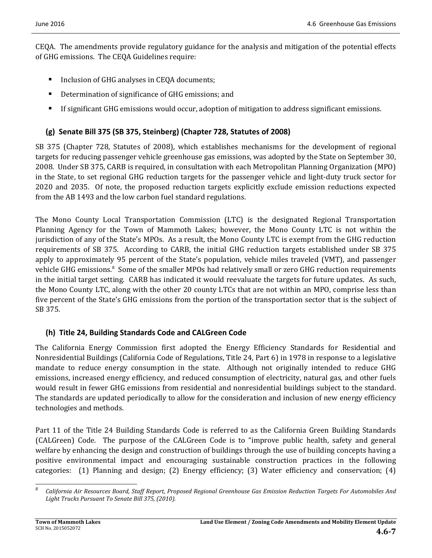CEQA. The amendments provide regulatory guidance for the analysis and mitigation of the potential effects of GHG emissions. The CEQA Guidelines require:

- Inclusion of GHG analyses in CEQA documents;
- Determination of significance of GHG emissions; and
- If significant GHG emissions would occur, adoption of mitigation to address significant emissions.

# **(g) Senate Bill 375 (SB 375, Steinberg) (Chapter 728, Statutes of 2008)**

SB 375 (Chapter 728, Statutes of 2008), which establishes mechanisms for the development of regional targets for reducing passenger vehicle greenhouse gas emissions, was adopted by the State on September 30, 2008. Under SB 375, CARB is required, in consultation with each Metropolitan Planning Organization (MPO) in the State, to set regional GHG reduction targets for the passenger vehicle and light-duty truck sector for 2020 and 2035. Of note, the proposed reduction targets explicitly exclude emission reductions expected from the AB 1493 and the low carbon fuel standard regulations.

The Mono County Local Transportation Commission (LTC) is the designated Regional Transportation Planning Agency for the Town of Mammoth Lakes; however, the Mono County LTC is not within the jurisdiction of any of the State's MPOs. As a result, the Mono County LTC is exempt from the GHG reduction requirements of SB 375. According to CARB, the initial GHG reduction targets established under SB 375 apply to approximately 95 percent of the State's population, vehicle miles traveled (VMT), and passenger vehicle GHG emissions.<sup>8</sup> Some of the smaller MPOs had relatively small or zero GHG reduction requirements in the initial target setting. CARB has indicated it would reevaluate the targets for future updates. As such, the Mono County LTC, along with the other 20 county LTCs that are not within an MPO, comprise less than five percent of the State's GHG emissions from the portion of the transportation sector that is the subject of SB 375. 

# **(h) Title 24, Building Standards Code and CALGreen Code**

The California Energy Commission first adopted the Energy Efficiency Standards for Residential and Nonresidential Buildings (California Code of Regulations, Title 24, Part 6) in 1978 in response to a legislative mandate to reduce energy consumption in the state. Although not originally intended to reduce GHG emissions, increased energy efficiency, and reduced consumption of electricity, natural gas, and other fuels would result in fewer GHG emissions from residential and nonresidential buildings subject to the standard. The standards are updated periodically to allow for the consideration and inclusion of new energy efficiency technologies and methods.

Part 11 of the Title 24 Building Standards Code is referred to as the California Green Building Standards (CALGreen) Code. The purpose of the CALGreen Code is to "improve public health, safety and general welfare by enhancing the design and construction of buildings through the use of building concepts having a positive environmental impact and encouraging sustainable construction practices in the following categories:  $(1)$  Planning and design;  $(2)$  Energy efficiency;  $(3)$  Water efficiency and conservation;  $(4)$ 

 *8* California Air Resources Board, Staff Report, Proposed Regional Greenhouse Gas Emission Reduction Targets For Automobiles And *Light Trucks Pursuant To Senate Bill 375, (2010).*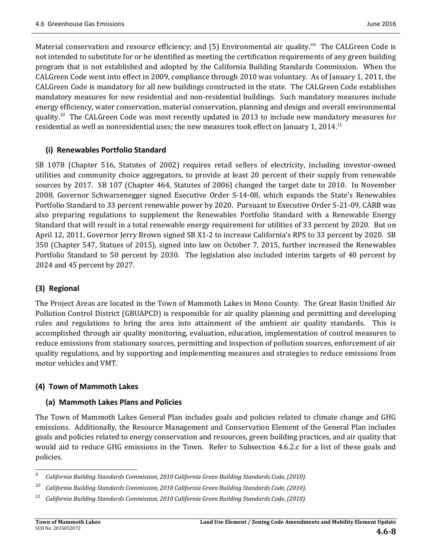Material conservation and resource efficiency; and (5) Environmental air quality."<sup>9</sup> The CALGreen Code is not intended to substitute for or be identified as meeting the certification requirements of any green building program that is not established and adopted by the California Building Standards Commission. When the CALGreen Code went into effect in 2009, compliance through 2010 was voluntary. As of January 1, 2011, the CALGreen Code is mandatory for all new buildings constructed in the state. The CALGreen Code establishes mandatory measures for new residential and non-residential buildings. Such mandatory measures include energy efficiency, water conservation, material conservation, planning and design and overall environmental quality.<sup>10</sup> The CALGreen Code was most recently updated in 2013 to include new mandatory measures for residential as well as nonresidential uses; the new measures took effect on January 1, 2014.<sup>11</sup>

### **(i) Renewables Portfolio Standard**

SB 1078 (Chapter 516, Statutes of 2002) requires retail sellers of electricity, including investor-owned utilities and community choice aggregators, to provide at least 20 percent of their supply from renewable sources by 2017. SB 107 (Chapter 464, Statutes of 2006) changed the target date to 2010. In November 2008, Governor Schwarzenegger signed Executive Order S-14-08, which expands the State's Renewables Portfolio Standard to 33 percent renewable power by 2020. Pursuant to Executive Order S-21-09, CARB was also preparing regulations to supplement the Renewables Portfolio Standard with a Renewable Energy Standard that will result in a total renewable energy requirement for utilities of 33 percent by 2020. But on April 12, 2011, Governor Jerry Brown signed SB X1-2 to increase California's RPS to 33 percent by 2020. SB 350 (Chapter 547, Statues of 2015), signed into law on October 7, 2015, further increased the Renewables Portfolio Standard to 50 percent by 2030. The legislation also included interim targets of 40 percent by 2024 and 45 percent by 2027. 

# **(3) Regional**

The Project Areas are located in the Town of Mammoth Lakes in Mono County. The Great Basin Unified Air Pollution Control District (GBUAPCD) is responsible for air quality planning and permitting and developing rules and regulations to bring the area into attainment of the ambient air quality standards. This is accomplished through air quality monitoring, evaluation, education, implementation of control measures to reduce emissions from stationary sources, permitting and inspection of pollution sources, enforcement of air quality regulations, and by supporting and implementing measures and strategies to reduce emissions from motor vehicles and VMT.

# **(4) Town of Mammoth Lakes**

# **(a) Mammoth Lakes Plans and Policies**

The Town of Mammoth Lakes General Plan includes goals and policies related to climate change and GHG emissions. Additionally, the Resource Management and Conservation Element of the General Plan includes goals and policies related to energy conservation and resources, green building practices, and air quality that would aid to reduce GHG emissions in the Town. Refer to Subsection 4.6.2.c for a list of these goals and policies. 

<sup>&</sup>lt;u> 1989 - Johann Stein, fransk politik (d. 1989)</u> *9 California Building Standards Commission, 2010 California Green Building Standards Code, (2010).*

*<sup>10</sup> California Building Standards Commission, 2010 California Green Building Standards Code, (2010).*

*<sup>11</sup> California Building Standards Commission, 2010 California Green Building Standards Code, (2010).*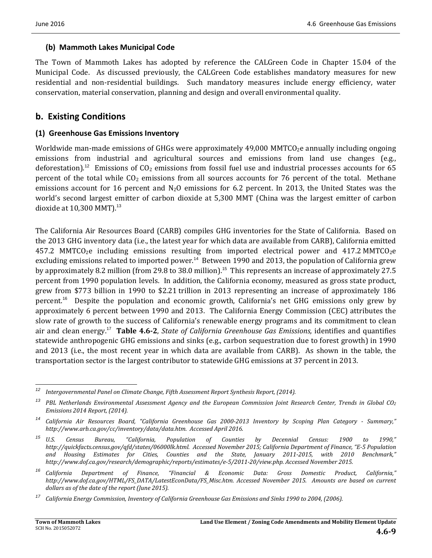### **(b) Mammoth Lakes Municipal Code**

The Town of Mammoth Lakes has adopted by reference the CALGreen Code in Chapter 15.04 of the Municipal Code. As discussed previously, the CALGreen Code establishes mandatory measures for new residential and non-residential buildings. Such mandatory measures include energy efficiency, water conservation, material conservation, planning and design and overall environmental quality.

# **b. Existing Conditions**

### **(1) Greenhouse Gas Emissions Inventory**

Worldwide man-made emissions of GHGs were approximately  $49,000$  MMTCO<sub>2</sub>e annually including ongoing emissions from industrial and agricultural sources and emissions from land use changes (e.g., deforestation).<sup>12</sup> Emissions of  $CO<sub>2</sub>$  emissions from fossil fuel use and industrial processes accounts for 65 percent of the total while  $CO<sub>2</sub>$  emissions from all sources accounts for 76 percent of the total. Methane emissions account for 16 percent and  $N_2O$  emissions for 6.2 percent. In 2013, the United States was the world's second largest emitter of carbon dioxide at 5,300 MMT (China was the largest emitter of carbon dioxide at  $10,300$  MMT).<sup>13</sup>

The California Air Resources Board (CARB) compiles GHG inventories for the State of California. Based on the 2013 GHG inventory data (i.e., the latest year for which data are available from CARB), California emitted  $457.2$  MMTCO<sub>2</sub>e including emissions resulting from imported electrical power and  $417.2$  MMTCO<sub>2</sub>e excluding emissions related to imported power.<sup>14</sup> Between 1990 and 2013, the population of California grew by approximately 8.2 million (from 29.8 to 38.0 million).<sup>15</sup> This represents an increase of approximately 27.5 percent from 1990 population levels. In addition, the California economy, measured as gross state product, grew from \$773 billion in 1990 to \$2.21 trillion in 2013 representing an increase of approximately 186 percent.<sup>16</sup> Despite the population and economic growth, California's net GHG emissions only grew by approximately 6 percent between 1990 and 2013. The California Energy Commission (CEC) attributes the slow rate of growth to the success of California's renewable energy programs and its commitment to clean air and clean energy.<sup>17</sup> **Table 4.6‐2**, *State of California Greenhouse Gas Emissions,* identifies and quantifies statewide anthropogenic GHG emissions and sinks (e.g., carbon sequestration due to forest growth) in 1990 and 2013 (i.e., the most recent year in which data are available from CARB). As shown in the table, the transportation sector is the largest contributor to statewide GHG emissions at 37 percent in 2013.

*<sup>12</sup> Intergovernmental Panel on Climate Change, Fifth Assessment Report Synthesis Report, (2014).*

<sup>&</sup>lt;sup>13</sup> PBL Netherlands Environmental Assessment Agency and the European Commission Joint Research Center, Trends in Global CO<sub>2</sub> *Emissions 2014 Report, (2014).*

<sup>&</sup>lt;sup>14</sup> California Air Resources Board, "California Greenhouse Gas 2000-2013 Inventory by Scoping Plan Category - Summary," *http://www.arb.ca.gov/cc/inventory/data/data.htm. Accessed April 2016.*

*<sup>15</sup> U.S. Census Bureau, "California, Population of Counties by Decennial Census: 1900 to 1990," http://quickfacts.census.gov/qfd/states/06000lk.html. Accessed November 2015; California Department of Finance, "E‐5 Population and Housing Estimates for Cities, Counties and the State, January 2011‐2015, with 2010 Benchmark," http://www.dof.ca.gov/research/demographic/reports/estimates/e‐5/2011‐20/view.php. Accessed November 2015.*

*<sup>16</sup> California Department of Finance, "Financial & Economic Data: Gross Domestic Product, California," http://www.dof.ca.gov/HTML/FS\_DATA/LatestEconData/FS\_Misc.htm. Accessed November 2015. Amounts are based on current dollars as of the date of the report (June 2015).*

<sup>&</sup>lt;sup>17</sup> California Energy Commission, Inventory of California Greenhouse Gas Emissions and Sinks 1990 to 2004, (2006).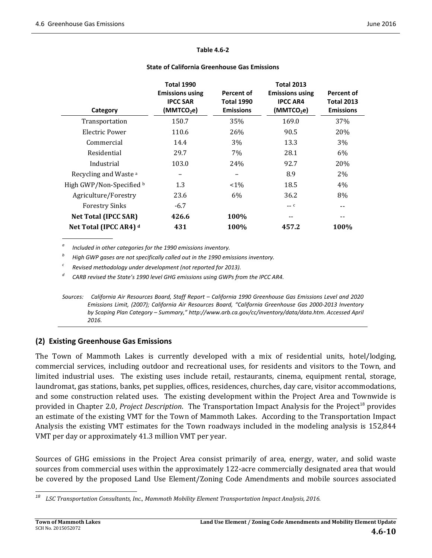#### **Table 4.6‐2**

#### **State of California Greenhouse Gas Emissions**

|                                  | <b>Total 1990</b>                         |                                 | <b>Total 2013</b>                         |                                 |
|----------------------------------|-------------------------------------------|---------------------------------|-------------------------------------------|---------------------------------|
|                                  | <b>Emissions using</b><br><b>IPCC SAR</b> | Percent of<br><b>Total 1990</b> | <b>Emissions using</b><br><b>IPCC AR4</b> | Percent of<br><b>Total 2013</b> |
| Category                         | (MMTCO <sub>2</sub> e)                    | <b>Emissions</b>                | (MMTCO <sub>2</sub> e)                    | <b>Emissions</b>                |
| Transportation                   | 150.7                                     | 35%                             | 169.0                                     | 37%                             |
| Electric Power                   | 110.6                                     | 26%                             | 90.5                                      | 20%                             |
| Commercial                       | 14.4                                      | 3%                              | 13.3                                      | 3%                              |
| Residential                      | 29.7                                      | 7%                              | 28.1                                      | 6%                              |
| Industrial                       | 103.0                                     | 24%                             | 92.7                                      | 20%                             |
| Recycling and Waste <sup>a</sup> |                                           |                                 | 8.9                                       | 2%                              |
| High GWP/Non-Specified b         | 1.3                                       | $< 1\%$                         | 18.5                                      | 4%                              |
| Agriculture/Forestry             | 23.6                                      | 6%                              | 36.2                                      | 8%                              |
| <b>Forestry Sinks</b>            | $-6.7$                                    |                                 | $--- C$                                   | --                              |
| <b>Net Total (IPCC SAR)</b>      | 426.6                                     | 100%                            | $- -$                                     | --                              |
| Net Total (IPCC AR4) d           | 431                                       | 100%                            | 457.2                                     | 100%                            |

*<sup>a</sup> Included in other categories for the 1990 emissions inventory.*

*<sup>b</sup> High GWP gases are not specifically called out in the 1990 emissions inventory.*

*<sup>c</sup> Revised methodology under development (not reported for 2013).*

*<sup>d</sup> CARB revised the State's 1990 level GHG emissions using GWPs from the IPCC AR4.*

Sources: California Air Resources Board, Staff Report - California 1990 Greenhouse Gas Emissions Level and 2020 *Emissions Limit, (2007); California Air Resources Board, "California Greenhouse Gas 2000‐2013 Inventory by Scoping Plan Category – Summary," http://www.arb.ca.gov/cc/inventory/data/data.htm. Accessed April 2016.*

# **(2) Existing Greenhouse Gas Emissions**

The Town of Mammoth Lakes is currently developed with a mix of residential units, hotel/lodging, commercial services, including outdoor and recreational uses, for residents and visitors to the Town, and limited industrial uses. The existing uses include retail, restaurants, cinema, equipment rental, storage, laundromat, gas stations, banks, pet supplies, offices, residences, churches, day care, visitor accommodations, and some construction related uses. The existing development within the Project Area and Townwide is provided in Chapter 2.0, *Project Description*. The Transportation Impact Analysis for the Project<sup>18</sup> provides an estimate of the existing VMT for the Town of Mammoth Lakes. According to the Transportation Impact Analysis the existing VMT estimates for the Town roadways included in the modeling analysis is 152,844 VMT per day or approximately 41.3 million VMT per year.

Sources of GHG emissions in the Project Area consist primarily of area, energy, water, and solid waste sources from commercial uses within the approximately 122-acre commercially designated area that would be covered by the proposed Land Use Element/Zoning Code Amendments and mobile sources associated

 *<sup>18</sup> LSC Transportation Consultants, Inc., Mammoth Mobility Element Transportation Impact Analysis, 2016.*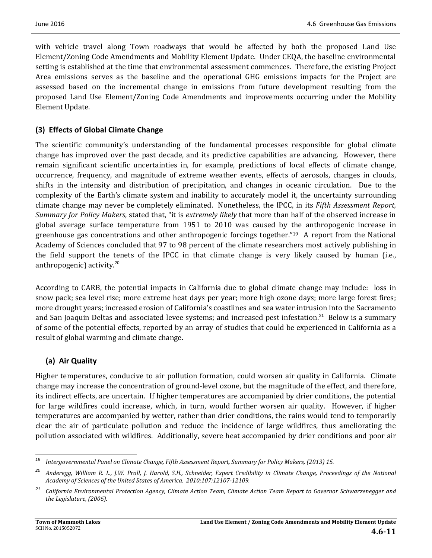with vehicle travel along Town roadways that would be affected by both the proposed Land Use Element/Zoning Code Amendments and Mobility Element Update. Under CEQA, the baseline environmental setting is established at the time that environmental assessment commences. Therefore, the existing Project Area emissions serves as the baseline and the operational GHG emissions impacts for the Project are assessed based on the incremental change in emissions from future development resulting from the proposed Land Use Element/Zoning Code Amendments and improvements occurring under the Mobility Element Update.

# **(3) Effects of Global Climate Change**

The scientific community's understanding of the fundamental processes responsible for global climate change has improved over the past decade, and its predictive capabilities are advancing. However, there remain significant scientific uncertainties in, for example, predictions of local effects of climate change, occurrence, frequency, and magnitude of extreme weather events, effects of aerosols, changes in clouds, shifts in the intensity and distribution of precipitation, and changes in oceanic circulation. Due to the complexity of the Earth's climate system and inability to accurately model it, the uncertainty surrounding climate change may never be completely eliminated. Nonetheless, the IPCC, in its *Fifth Assessment Report*, *Summary for Policy Makers*, stated that, "it is *extremely likely* that more than half of the observed increase in global average surface temperature from 1951 to 2010 was caused by the anthropogenic increase in greenhouse gas concentrations and other anthropogenic forcings together."<sup>19</sup> A report from the National Academy of Sciences concluded that 97 to 98 percent of the climate researchers most actively publishing in the field support the tenets of the IPCC in that climate change is very likely caused by human (i.e., anthropogenic) activity. $20$ 

According to CARB, the potential impacts in California due to global climate change may include: loss in snow pack; sea level rise; more extreme heat days per year; more high ozone days; more large forest fires; more drought years; increased erosion of California's coastlines and sea water intrusion into the Sacramento and San Joaquin Deltas and associated levee systems; and increased pest infestation.<sup>21</sup> Below is a summary of some of the potential effects, reported by an array of studies that could be experienced in California as a result of global warming and climate change.

# **(a) Air Quality**

Higher temperatures, conducive to air pollution formation, could worsen air quality in California. Climate change may increase the concentration of ground-level ozone, but the magnitude of the effect, and therefore, its indirect effects, are uncertain. If higher temperatures are accompanied by drier conditions, the potential for large wildfires could increase, which, in turn, would further worsen air quality. However, if higher temperatures are accompanied by wetter, rather than drier conditions, the rains would tend to temporarily clear the air of particulate pollution and reduce the incidence of large wildfires, thus ameliorating the pollution associated with wildfires. Additionally, severe heat accompanied by drier conditions and poor air

*<sup>19</sup> Intergovernmental Panel on Climate Change, Fifth Assessment Report, Summary for Policy Makers, (2013) 15.*

<sup>&</sup>lt;sup>20</sup> Anderegg, William R. L., J.W. Prall, J. Harold, S.H., Schneider, Expert Credibility in Climate Change, Proceedings of the National *Academy of Sciences of the United States of America. 2010;107:12107‐12109.*

<sup>&</sup>lt;sup>21</sup> California Environmental Protection Agency, Climate Action Team, Climate Action Team Report to Governor Schwarzenegger and *the Legislature, (2006).*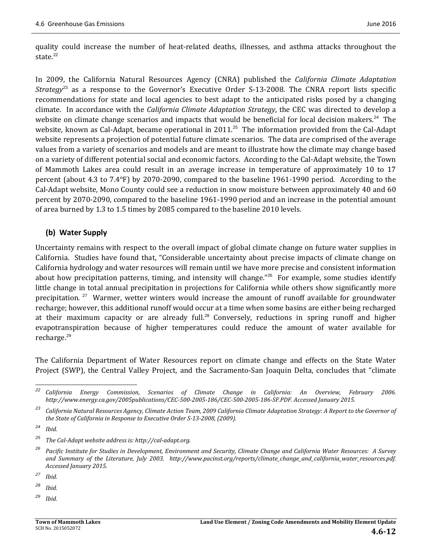quality could increase the number of heat-related deaths, illnesses, and asthma attacks throughout the state $^{22}$ 

In 2009, the California Natural Resources Agency (CNRA) published the *California Climate Adaptation Strategy*<sup>23</sup> as a response to the Governor's Executive Order S-13-2008. The CNRA report lists specific recommendations for state and local agencies to best adapt to the anticipated risks posed by a changing climate. In accordance with the *California Climate Adaptation Strategy*, the CEC was directed to develop a website on climate change scenarios and impacts that would be beneficial for local decision makers.<sup>24</sup> The website, known as Cal-Adapt, became operational in 2011.<sup>25</sup> The information provided from the Cal-Adapt website represents a projection of potential future climate scenarios. The data are comprised of the average values from a variety of scenarios and models and are meant to illustrate how the climate may change based on a variety of different potential social and economic factors. According to the Cal-Adapt website, the Town of Mammoth Lakes area could result in an average increase in temperature of approximately 10 to 17 percent (about  $4.3$  to  $7.4^{\circ}$ F) by 2070-2090, compared to the baseline 1961-1990 period. According to the Cal-Adapt website, Mono County could see a reduction in snow moisture between approximately 40 and 60 percent by 2070-2090, compared to the baseline 1961-1990 period and an increase in the potential amount of area burned by 1.3 to 1.5 times by 2085 compared to the baseline 2010 levels.

# **(b) Water Supply**

Uncertainty remains with respect to the overall impact of global climate change on future water supplies in California. Studies have found that, "Considerable uncertainty about precise impacts of climate change on California hydrology and water resources will remain until we have more precise and consistent information about how precipitation patterns, timing, and intensity will change."<sup>26</sup> For example, some studies identify little change in total annual precipitation in projections for California while others show significantly more precipitation.<sup>27</sup> Warmer, wetter winters would increase the amount of runoff available for groundwater recharge; however, this additional runoff would occur at a time when some basins are either being recharged at their maximum capacity or are already full.<sup>28</sup> Conversely, reductions in spring runoff and higher evapotranspiration because of higher temperatures could reduce the amount of water available for recharge.<sup>29</sup>

The California Department of Water Resources report on climate change and effects on the State Water Project (SWP), the Central Valley Project, and the Sacramento-San Joaquin Delta, concludes that "climate

<u> 1989 - Johann Stein, fransk politik (d. 1989)</u>

*<sup>29</sup> Ibid.*

*<sup>22</sup> California Energy Commission, Scenarios of Climate Change in California: An Overview, February 2006.*  http://www.energy.ca.gov/2005publications/CEC-500-2005-186/CEC-500-2005-186-SF.PDF. Accessed January 2015.

<sup>&</sup>lt;sup>23</sup> California Natural Resources Agency, Climate Action Team, 2009 California Climate Adaptation Strategy: A Report to the Governor of *the State of California in Response to Executive Order S‐13‐2008, (2009).*

*<sup>24</sup> Ibid.*

*<sup>25</sup> The Cal‐Adapt website address is: http://cal‐adapt.org.*

<sup>&</sup>lt;sup>26</sup> Pacific Institute for Studies in Development, Environment and Security, Climate Change and California Water Resources: A Survey *and Summary of the Literature, July 2003. http://www.pacinst.org/reports/climate\_change\_and\_california\_water\_resources.pdf. Accessed January 2015.*

*<sup>27</sup> Ibid*.

*<sup>28</sup> Ibid.*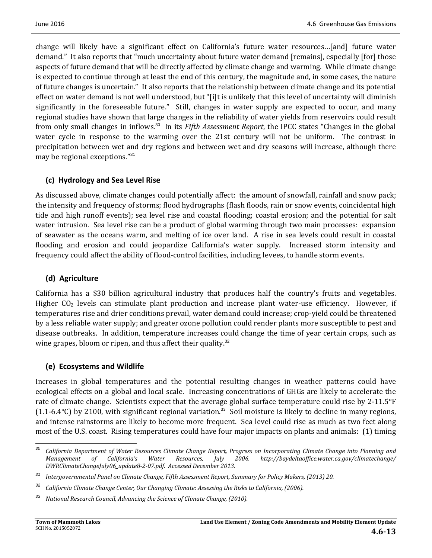change will likely have a significant effect on California's future water resources...[and] future water demand." It also reports that "much uncertainty about future water demand [remains], especially [for] those aspects of future demand that will be directly affected by climate change and warming. While climate change is expected to continue through at least the end of this century, the magnitude and, in some cases, the nature of future changes is uncertain." It also reports that the relationship between climate change and its potential effect on water demand is not well understood, but "[i]t is unlikely that this level of uncertainty will diminish significantly in the foreseeable future." Still, changes in water supply are expected to occur, and many regional studies have shown that large changes in the reliability of water yields from reservoirs could result from only small changes in inflows.<sup>30</sup> In its *Fifth Assessment Report*, the IPCC states "Changes in the global water cycle in response to the warming over the 21st century will not be uniform. The contrast in precipitation between wet and dry regions and between wet and dry seasons will increase, although there may be regional exceptions."<sup>31</sup>

# **(c) Hydrology and Sea Level Rise**

As discussed above, climate changes could potentially affect: the amount of snowfall, rainfall and snow pack; the intensity and frequency of storms; flood hydrographs (flash floods, rain or snow events, coincidental high tide and high runoff events); sea level rise and coastal flooding; coastal erosion; and the potential for salt water intrusion. Sea level rise can be a product of global warming through two main processes: expansion of seawater as the oceans warm, and melting of ice over land. A rise in sea levels could result in coastal flooding and erosion and could jeopardize California's water supply. Increased storm intensity and frequency could affect the ability of flood-control facilities, including levees, to handle storm events.

# **(d) Agriculture**

California has a \$30 billion agricultural industry that produces half the country's fruits and vegetables. Higher  $CO<sub>2</sub>$  levels can stimulate plant production and increase plant water-use efficiency. However, if temperatures rise and drier conditions prevail, water demand could increase; crop-yield could be threatened by a less reliable water supply; and greater ozone pollution could render plants more susceptible to pest and disease outbreaks. In addition, temperature increases could change the time of year certain crops, such as wine grapes, bloom or ripen, and thus affect their quality.<sup>32</sup>

# **(e) Ecosystems and Wildlife**

<u> 1989 - Johann Stein, fransk politik (d. 1989)</u>

Increases in global temperatures and the potential resulting changes in weather patterns could have ecological effects on a global and local scale. Increasing concentrations of GHGs are likely to accelerate the rate of climate change. Scientists expect that the average global surface temperature could rise by 2-11.5°F (1.1-6.4°C) by 2100, with significant regional variation.<sup>33</sup> Soil moisture is likely to decline in many regions, and intense rainstorms are likely to become more frequent. Sea level could rise as much as two feet along most of the U.S. coast. Rising temperatures could have four major impacts on plants and animals: (1) timing

<sup>&</sup>lt;sup>30</sup> California Department of Water Resources Climate Change Report, Progress on Incorporating Climate Change into Planning and *Management of California's Water Resources, July 2006. http://baydeltaoffice.water.ca.gov/climatechange/ DWRClimateChangeJuly06\_update8‐2‐07.pdf. Accessed December 2013.*

*<sup>31</sup> Intergovernmental Panel on Climate Change, Fifth Assessment Report, Summary for Policy Makers, (2013) 20.*

*<sup>32</sup> California Climate Change Center, Our Changing Climate: Assessing the Risks to California, (2006).*

*<sup>33</sup> National Research Council, Advancing the Science of Climate Change, (2010).*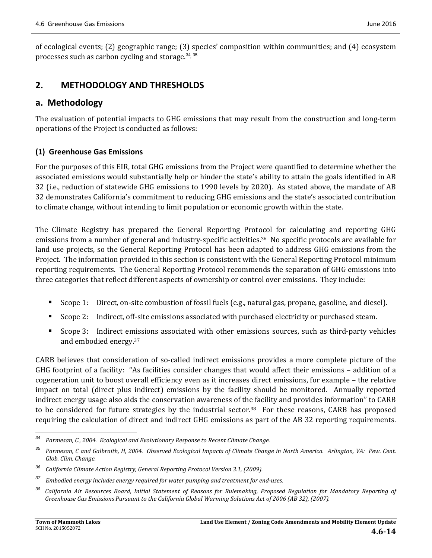of ecological events;  $(2)$  geographic range;  $(3)$  species' composition within communities; and  $(4)$  ecosystem processes such as carbon cycling and storage. $34,35$ 

# **2. METHODOLOGY AND THRESHOLDS**

# **a. Methodology**

The evaluation of potential impacts to GHG emissions that may result from the construction and long-term operations of the Project is conducted as follows:

# **(1) Greenhouse Gas Emissions**

For the purposes of this EIR, total GHG emissions from the Project were quantified to determine whether the associated emissions would substantially help or hinder the state's ability to attain the goals identified in AB 32 (i.e., reduction of statewide GHG emissions to 1990 levels by 2020). As stated above, the mandate of AB 32 demonstrates California's commitment to reducing GHG emissions and the state's associated contribution to climate change, without intending to limit population or economic growth within the state.

The Climate Registry has prepared the General Reporting Protocol for calculating and reporting GHG emissions from a number of general and industry-specific activities.<sup>36</sup> No specific protocols are available for land use projects, so the General Reporting Protocol has been adapted to address GHG emissions from the Project. The information provided in this section is consistent with the General Reporting Protocol minimum reporting requirements. The General Reporting Protocol recommends the separation of GHG emissions into three categories that reflect different aspects of ownership or control over emissions. They include:

- Scope 1: Direct, on-site combustion of fossil fuels (e.g., natural gas, propane, gasoline, and diesel).
- Scope 2: Indirect, off-site emissions associated with purchased electricity or purchased steam.
- Scope 3: Indirect emissions associated with other emissions sources, such as third-party vehicles and embodied energy.<sup>37</sup>

CARB believes that consideration of so-called indirect emissions provides a more complete picture of the GHG footprint of a facility: "As facilities consider changes that would affect their emissions  $-$  addition of a cogeneration unit to boost overall efficiency even as it increases direct emissions, for example - the relative impact on total (direct plus indirect) emissions by the facility should be monitored. Annually reported indirect energy usage also aids the conservation awareness of the facility and provides information" to CARB to be considered for future strategies by the industrial sector.<sup>38</sup> For these reasons, CARB has proposed requiring the calculation of direct and indirect GHG emissions as part of the AB 32 reporting requirements.

*<sup>34</sup> Parmesan, C., 2004. Ecological and Evolutionary Response to Recent Climate Change.* 

<sup>&</sup>lt;sup>35</sup> Parmesan, C and Galbraith, H, 2004. Observed Ecological Impacts of Climate Change in North America. Arlington, VA: Pew. Cent. *Glob. Clim. Change.*

*<sup>36</sup> California Climate Action Registry, General Reporting Protocol Version 3.1, (2009).*

*<sup>37</sup> Embodied energy includes energy required for water pumping and treatment for end‐uses.* 

<sup>&</sup>lt;sup>38</sup> California Air Resources Board, Initial Statement of Reasons for Rulemaking, Proposed Regulation for Mandatory Reporting of *Greenhouse Gas Emissions Pursuant to the California Global Warming Solutions Act of 2006 (AB 32), (2007).*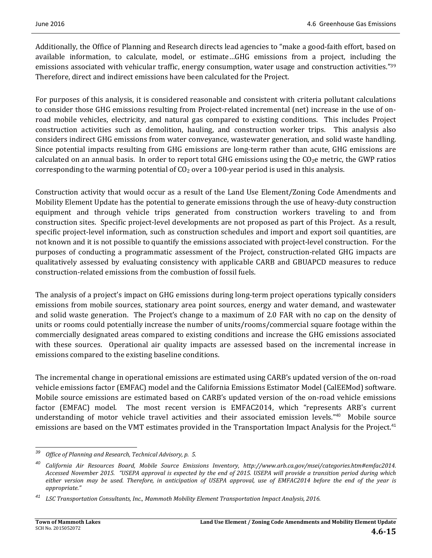Additionally, the Office of Planning and Research directs lead agencies to "make a good-faith effort, based on available information, to calculate, model, or estimate...GHG emissions from a project, including the emissions associated with vehicular traffic, energy consumption, water usage and construction activities."<sup>39</sup> Therefore, direct and indirect emissions have been calculated for the Project.

For purposes of this analysis, it is considered reasonable and consistent with criteria pollutant calculations to consider those GHG emissions resulting from Project-related incremental (net) increase in the use of onroad mobile vehicles, electricity, and natural gas compared to existing conditions. This includes Project construction activities such as demolition, hauling, and construction worker trips. This analysis also considers indirect GHG emissions from water conveyance, wastewater generation, and solid waste handling. Since potential impacts resulting from GHG emissions are long-term rather than acute, GHG emissions are calculated on an annual basis. In order to report total GHG emissions using the  $CO<sub>2</sub>e$  metric, the GWP ratios corresponding to the warming potential of  $CO<sub>2</sub>$  over a 100-year period is used in this analysis.

Construction activity that would occur as a result of the Land Use Element/Zoning Code Amendments and Mobility Element Update has the potential to generate emissions through the use of heavy-duty construction equipment and through vehicle trips generated from construction workers traveling to and from construction sites. Specific project-level developments are not proposed as part of this Project. As a result, specific project-level information, such as construction schedules and import and export soil quantities, are not known and it is not possible to quantify the emissions associated with project-level construction. For the purposes of conducting a programmatic assessment of the Project, construction-related GHG impacts are qualitatively assessed by evaluating consistency with applicable CARB and GBUAPCD measures to reduce construction-related emissions from the combustion of fossil fuels.

The analysis of a project's impact on GHG emissions during long-term project operations typically considers emissions from mobile sources, stationary area point sources, energy and water demand, and wastewater and solid waste generation. The Project's change to a maximum of 2.0 FAR with no cap on the density of units or rooms could potentially increase the number of units/rooms/commercial square footage within the commercially designated areas compared to existing conditions and increase the GHG emissions associated with these sources. Operational air quality impacts are assessed based on the incremental increase in emissions compared to the existing baseline conditions.

The incremental change in operational emissions are estimated using CARB's updated version of the on-road vehicle emissions factor (EMFAC) model and the California Emissions Estimator Model (CalEEMod) software. Mobile source emissions are estimated based on CARB's updated version of the on-road vehicle emissions factor (EMFAC) model. The most recent version is EMFAC2014, which "represents ARB's current understanding of motor vehicle travel activities and their associated emission levels."<sup>40</sup> Mobile source emissions are based on the VMT estimates provided in the Transportation Impact Analysis for the Project.<sup>41</sup>

 *<sup>39</sup> Office of Planning and Research, Technical Advisory, p. 5.*

*<sup>40</sup> California Air Resources Board, Mobile Source Emissions Inventory, http://www.arb.ca.gov/msei/categories.htm#emfac2014.*  Accessed November 2015. "USEPA approval is expected by the end of 2015. USEPA will provide a transition period during which either version may be used. Therefore, in anticipation of USEPA approval, use of EMFAC2014 before the end of the year is *appropriate."*

*<sup>41</sup> LSC Transportation Consultants, Inc., Mammoth Mobility Element Transportation Impact Analysis, 2016.*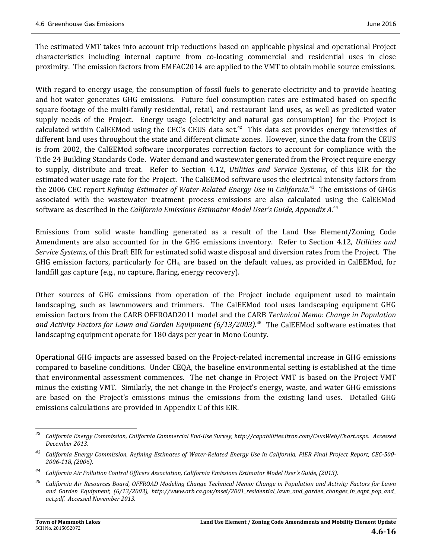The estimated VMT takes into account trip reductions based on applicable physical and operational Project characteristics including internal capture from co-locating commercial and residential uses in close proximity. The emission factors from EMFAC2014 are applied to the VMT to obtain mobile source emissions.

With regard to energy usage, the consumption of fossil fuels to generate electricity and to provide heating and hot water generates GHG emissions. Future fuel consumption rates are estimated based on specific square footage of the multi-family residential, retail, and restaurant land uses, as well as predicted water supply needs of the Project. Energy usage (electricity and natural gas consumption) for the Project is calculated within CalEEMod using the CEC's CEUS data set.<sup>42</sup> This data set provides energy intensities of different land uses throughout the state and different climate zones. However, since the data from the CEUS is from 2002, the CalEEMod software incorporates correction factors to account for compliance with the Title 24 Building Standards Code. Water demand and wastewater generated from the Project require energy to supply, distribute and treat. Refer to Section 4.12, *Utilities and Service Systems*, of this EIR for the estimated water usage rate for the Project. The CalEEMod software uses the electrical intensity factors from the 2006 CEC report *Refining Estimates of Water-Related Energy Use in California.<sup>43</sup> The emissions of GHGs* associated with the wastewater treatment process emissions are also calculated using the CalEEMod software as described in the California *Emissions Estimator Model User's Guide, Appendix A.*<sup>44</sup>

Emissions from solid waste handling generated as a result of the Land Use Element/Zoning Code Amendments are also accounted for in the GHG emissions inventory. Refer to Section 4.12, Utilities and *Service Systems*, of this Draft EIR for estimated solid waste disposal and diversion rates from the Project. The GHG emission factors, particularly for  $CH_4$ , are based on the default values, as provided in CalEEMod, for landfill gas capture (e.g., no capture, flaring, energy recovery).

Other sources of GHG emissions from operation of the Project include equipment used to maintain landscaping, such as lawnmowers and trimmers. The CalEEMod tool uses landscaping equipment GHG emission factors from the CARB OFFROAD2011 model and the CARB *Technical Memo: Change in Population and Activity Factors for Lawn and Garden Equipment (6/13/2003)*. <sup>45</sup> The CalEEMod software estimates that landscaping equipment operate for 180 days per year in Mono County.

Operational GHG impacts are assessed based on the Project-related incremental increase in GHG emissions compared to baseline conditions. Under CEQA, the baseline environmental setting is established at the time that environmental assessment commences. The net change in Project VMT is based on the Project VMT minus the existing VMT. Similarly, the net change in the Project's energy, waste, and water GHG emissions are based on the Project's emissions minus the emissions from the existing land uses. Detailed GHG emissions calculations are provided in Appendix C of this EIR.

<sup>&</sup>lt;u> 1989 - Johann Stein, fransk politik (d. 1989)</u> California Energy Commission, California Commercial End-Use Survey, http://capabilities.itron.com/CeusWeb/Chart.aspx. Accessed *December 2013.*

California Energy Commission, Refining Estimates of Water-Related Energy Use in California, PIER Final Project Report, CEC-500-*2006‐118, (2006).*

*<sup>44</sup> California Air Pollution Control Officers Association, California Emissions Estimator Model User's Guide, (2013).*

<sup>&</sup>lt;sup>45</sup> California Air Resources Board, OFFROAD Modeling Change Technical Memo: Change in Population and Activity Factors for Lawn *and Garden Equipment, (6/13/2003), http://www.arb.ca.gov/msei/2001\_residential\_lawn\_and\_garden\_changes\_in\_eqpt\_pop\_and\_ act.pdf. Accessed November 2013.*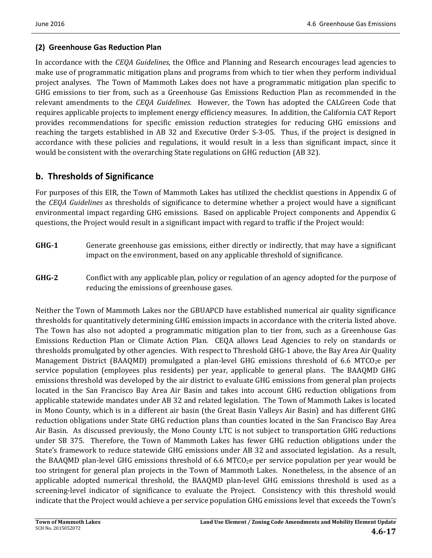# **(2) Greenhouse Gas Reduction Plan**

In accordance with the *CEQA Guidelines*, the Office and Planning and Research encourages lead agencies to make use of programmatic mitigation plans and programs from which to tier when they perform individual project analyses. The Town of Mammoth Lakes does not have a programmatic mitigation plan specific to GHG emissions to tier from, such as a Greenhouse Gas Emissions Reduction Plan as recommended in the relevant amendments to the *CEQA Guidelines*. However, the Town has adopted the CALGreen Code that requires applicable projects to implement energy efficiency measures. In addition, the California CAT Report provides recommendations for specific emission reduction strategies for reducing GHG emissions and reaching the targets established in AB 32 and Executive Order S-3-05. Thus, if the project is designed in accordance with these policies and regulations, it would result in a less than significant impact, since it would be consistent with the overarching State regulations on GHG reduction (AB 32).

# **b. Thresholds of Significance**

For purposes of this EIR, the Town of Mammoth Lakes has utilized the checklist questions in Appendix G of the *CEQA Guidelines* as thresholds of significance to determine whether a project would have a significant environmental impact regarding GHG emissions. Based on applicable Project components and Appendix G questions, the Project would result in a significant impact with regard to traffic if the Project would:

- **GHG-1** Generate greenhouse gas emissions, either directly or indirectly, that may have a significant impact on the environment, based on any applicable threshold of significance.
- **GHG**-2 Conflict with any applicable plan, policy or regulation of an agency adopted for the purpose of reducing the emissions of greenhouse gases.

Neither the Town of Mammoth Lakes nor the GBUAPCD have established numerical air quality significance thresholds for quantitatively determining GHG emission impacts in accordance with the criteria listed above. The Town has also not adopted a programmatic mitigation plan to tier from, such as a Greenhouse Gas Emissions Reduction Plan or Climate Action Plan. CEQA allows Lead Agencies to rely on standards or thresholds promulgated by other agencies. With respect to Threshold GHG-1 above, the Bay Area Air Quality Management District (BAAQMD) promulgated a plan-level GHG emissions threshold of 6.6 MTCO<sub>2</sub>e per service population (employees plus residents) per year, applicable to general plans. The BAAQMD GHG emissions threshold was developed by the air district to evaluate GHG emissions from general plan projects located in the San Francisco Bay Area Air Basin and takes into account GHG reduction obligations from applicable statewide mandates under AB 32 and related legislation. The Town of Mammoth Lakes is located in Mono County, which is in a different air basin (the Great Basin Valleys Air Basin) and has different GHG reduction obligations under State GHG reduction plans than counties located in the San Francisco Bay Area Air Basin. As discussed previously, the Mono County LTC is not subject to transportation GHG reductions under SB 375. Therefore, the Town of Mammoth Lakes has fewer GHG reduction obligations under the State's framework to reduce statewide GHG emissions under AB 32 and associated legislation. As a result, the BAAQMD plan-level GHG emissions threshold of 6.6 MTCO<sub>2</sub>e per service population per year would be too stringent for general plan projects in the Town of Mammoth Lakes. Nonetheless, in the absence of an applicable adopted numerical threshold, the BAAQMD plan-level GHG emissions threshold is used as a screening-level indicator of significance to evaluate the Project. Consistency with this threshold would indicate that the Project would achieve a per service population GHG emissions level that exceeds the Town's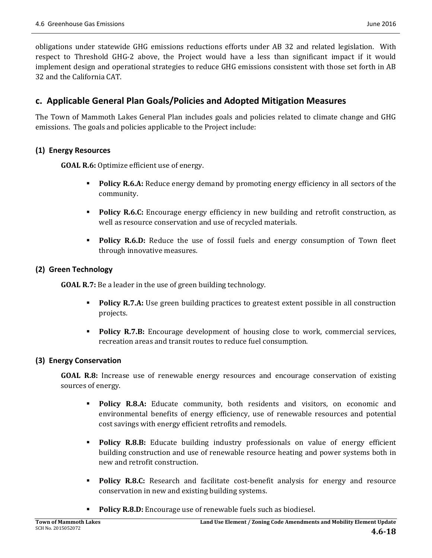obligations under statewide GHG emissions reductions efforts under AB 32 and related legislation. With respect to Threshold GHG-2 above, the Project would have a less than significant impact if it would implement design and operational strategies to reduce GHG emissions consistent with those set forth in AB 32 and the California CAT. 

# **c. Applicable General Plan Goals/Policies and Adopted Mitigation Measures**

The Town of Mammoth Lakes General Plan includes goals and policies related to climate change and GHG emissions. The goals and policies applicable to the Project include:

# **(1) Energy Resources**

**GOAL R.6:** Optimize efficient use of energy.

- **Policy R.6.A:** Reduce energy demand by promoting energy efficiency in all sectors of the community.
- **Policy R.6.C:** Encourage energy efficiency in new building and retrofit construction, as well as resource conservation and use of recycled materials.
- **Policy R.6.D:** Reduce the use of fossil fuels and energy consumption of Town fleet through innovative measures.

# **(2) Green Technology**

**GOAL R.7:** Be a leader in the use of green building technology.

- **Policy R.7.A:** Use green building practices to greatest extent possible in all construction projects.
- **Policy R.7.B:** Encourage development of housing close to work, commercial services, recreation areas and transit routes to reduce fuel consumption.

# **(3) Energy Conservation**

**GOAL R.8:** Increase use of renewable energy resources and encourage conservation of existing sources of energy.

- **Policy R.8.A:** Educate community, both residents and visitors, on economic and environmental benefits of energy efficiency, use of renewable resources and potential cost savings with energy efficient retrofits and remodels.
- **Policy R.8.B:** Educate building industry professionals on value of energy efficient building construction and use of renewable resource heating and power systems both in new and retrofit construction.
- **Policy R.8.C:** Research and facilitate cost-benefit analysis for energy and resource conservation in new and existing building systems.
- **Policy R.8.D:** Encourage use of renewable fuels such as biodiesel.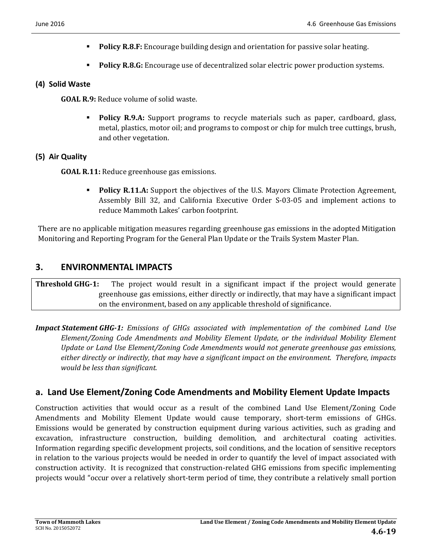- **Policy R.8.F:** Encourage building design and orientation for passive solar heating.
- **Policy R.8.G:** Encourage use of decentralized solar electric power production systems.

#### **(4) Solid Waste**

**GOAL R.9:** Reduce volume of solid waste.

**Policy R.9.A:** Support programs to recycle materials such as paper, cardboard, glass, metal, plastics, motor oil; and programs to compost or chip for mulch tree cuttings, brush, and other vegetation.

### **(5) Air Quality**

**GOAL R.11:** Reduce greenhouse gas emissions.

**Policy R.11.A:** Support the objectives of the U.S. Mayors Climate Protection Agreement, Assembly Bill 32, and California Executive Order S-03-05 and implement actions to reduce Mammoth Lakes' carbon footprint.

There are no applicable mitigation measures regarding greenhouse gas emissions in the adopted Mitigation Monitoring and Reporting Program for the General Plan Update or the Trails System Master Plan.

# **3. ENVIRONMENTAL IMPACTS**

**Threshold GHG-1:** The project would result in a significant impact if the project would generate greenhouse gas emissions, either directly or indirectly, that may have a significant impact on the environment, based on any applicable threshold of significance.

*Impact Statement GHG‐1: Emissions of GHGs associated with implementation of the combined Land Use Element/Zoning Code Amendments and Mobility Element Update, or the individual Mobility Element Update or Land Use Element/Zoning Code Amendments would not generate greenhouse gas emissions, either directly or indirectly, that may have a significant impact on the environment. Therefore, impacts would be less than significant.* 

# **a. Land Use Element/Zoning Code Amendments and Mobility Element Update Impacts**

Construction activities that would occur as a result of the combined Land Use Element/Zoning Code Amendments and Mobility Element Update would cause temporary, short-term emissions of GHGs. Emissions would be generated by construction equipment during various activities, such as grading and excavation, infrastructure construction, building demolition, and architectural coating activities. Information regarding specific development projects, soil conditions, and the location of sensitive receptors in relation to the various projects would be needed in order to quantify the level of impact associated with construction activity. It is recognized that construction-related GHG emissions from specific implementing projects would "occur over a relatively short-term period of time, they contribute a relatively small portion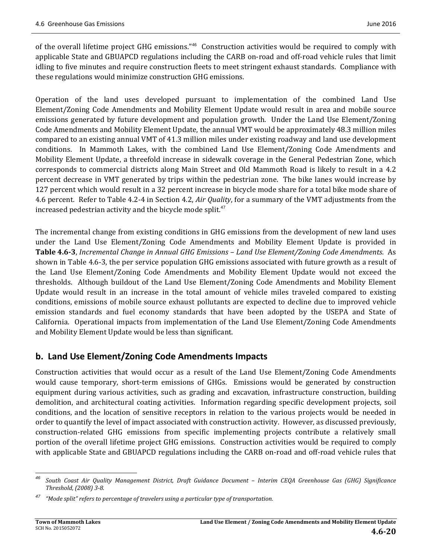of the overall lifetime project GHG emissions."<sup>46</sup> Construction activities would be required to comply with applicable State and GBUAPCD regulations including the CARB on-road and off-road vehicle rules that limit idling to five minutes and require construction fleets to meet stringent exhaust standards. Compliance with these regulations would minimize construction GHG emissions.

Operation of the land uses developed pursuant to implementation of the combined Land Use Element/Zoning Code Amendments and Mobility Element Update would result in area and mobile source emissions generated by future development and population growth. Under the Land Use Element/Zoning Code Amendments and Mobility Element Update, the annual VMT would be approximately 48.3 million miles compared to an existing annual VMT of 41.3 million miles under existing roadway and land use development conditions. In Mammoth Lakes, with the combined Land Use Element/Zoning Code Amendments and Mobility Element Update, a threefold increase in sidewalk coverage in the General Pedestrian Zone, which corresponds to commercial districts along Main Street and Old Mammoth Road is likely to result in a 4.2 percent decrease in VMT generated by trips within the pedestrian zone. The bike lanes would increase by 127 percent which would result in a 32 percent increase in bicycle mode share for a total bike mode share of 4.6 percent. Refer to Table 4.2-4 in Section 4.2, *Air Quality*, for a summary of the VMT adjustments from the increased pedestrian activity and the bicycle mode split. $47$ 

The incremental change from existing conditions in GHG emissions from the development of new land uses under the Land Use Element/Zoning Code Amendments and Mobility Element Update is provided in **Table 4.6‐3**, *Incremental Change in Annual GHG Emissions – Land Use Element/Zoning Code Amendments*. As shown in Table 4.6-3, the per service population GHG emissions associated with future growth as a result of the Land Use Element/Zoning Code Amendments and Mobility Element Update would not exceed the thresholds. Although buildout of the Land Use Element/Zoning Code Amendments and Mobility Element Update would result in an increase in the total amount of vehicle miles traveled compared to existing conditions, emissions of mobile source exhaust pollutants are expected to decline due to improved vehicle emission standards and fuel economy standards that have been adopted by the USEPA and State of California. Operational impacts from implementation of the Land Use Element/Zoning Code Amendments and Mobility Element Update would be less than significant.

# **b. Land Use Element/Zoning Code Amendments Impacts**

Construction activities that would occur as a result of the Land Use Element/Zoning Code Amendments would cause temporary, short-term emissions of GHGs. Emissions would be generated by construction equipment during various activities, such as grading and excavation, infrastructure construction, building demolition, and architectural coating activities. Information regarding specific development projects, soil conditions, and the location of sensitive receptors in relation to the various projects would be needed in order to quantify the level of impact associated with construction activity. However, as discussed previously, construction-related GHG emissions from specific implementing projects contribute a relatively small portion of the overall lifetime project GHG emissions. Construction activities would be required to comply with applicable State and GBUAPCD regulations including the CARB on-road and off-road vehicle rules that

<sup>&</sup>lt;u> 1989 - Johann Stein, fransk politik (d. 1989)</u> South Coast Air Quality Management District, Draft Guidance Document - Interim CEQA Greenhouse Gas (GHG) Significance *Threshold, (2008) 3‐8.*

*<sup>47</sup> "Mode split" refers to percentage of travelers using a particular type of transportation.*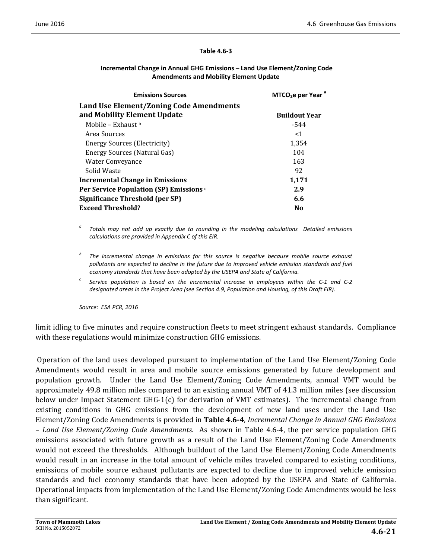#### **Table 4.6‐3**

| <b>Emissions Sources</b>                | $MTCO2e per Yeara$   |
|-----------------------------------------|----------------------|
| Land Use Element/Zoning Code Amendments |                      |
| and Mobility Element Update             | <b>Buildout Year</b> |
| Mobile – Exhaust b                      | -544                 |
| Area Sources                            | $<$ 1                |
| <b>Energy Sources (Electricity)</b>     | 1,354                |
| Energy Sources (Natural Gas)            | 104                  |
| Water Conveyance                        | 163                  |
| Solid Waste                             | 92                   |
| <b>Incremental Change in Emissions</b>  | 1,171                |
| Per Service Population (SP) Emissions c | 2.9                  |
| Significance Threshold (per SP)         | 6.6                  |
| <b>Exceed Threshold?</b>                | N <sub>0</sub>       |

#### **Incremental Change in Annual GHG Emissions – Land Use Element/Zoning Code Amendments and Mobility Element Update**

*<sup>a</sup> Totals may not add up exactly due to rounding in the modeling calculations Detailed emissions calculations are provided in Appendix C of this EIR.*

*<sup>b</sup> The incremental change in emissions for this source is negative because mobile source exhaust pollutants are expected to decline in the future due to improved vehicle emission standards and fuel economy standards that have been adopted by the USEPA and State of California.*

Service population is based on the incremental increase in employees within the C-1 and C-2 *designated areas in the Project Area (see Section 4.9, Population and Housing, of this Draft EIR).*

*Source: ESA PCR, 2016*

limit idling to five minutes and require construction fleets to meet stringent exhaust standards. Compliance with these regulations would minimize construction GHG emissions.

Operation of the land uses developed pursuant to implementation of the Land Use Element/Zoning Code Amendments would result in area and mobile source emissions generated by future development and population growth. Under the Land Use Element/Zoning Code Amendments, annual VMT would be approximately 49.8 million miles compared to an existing annual VMT of 41.3 million miles (see discussion below under Impact Statement  $GHG-1(c)$  for derivation of VMT estimates). The incremental change from existing conditions in GHG emissions from the development of new land uses under the Land Use Element/Zoning Code Amendments is provided in **Table 4.6‐4**, *Incremental Change in Annual GHG Emissions – Land Use Element/Zoning Code Amendments*. As shown in Table 4.6‐4, the per service population GHG emissions associated with future growth as a result of the Land Use Element/Zoning Code Amendments would not exceed the thresholds. Although buildout of the Land Use Element/Zoning Code Amendments would result in an increase in the total amount of vehicle miles traveled compared to existing conditions, emissions of mobile source exhaust pollutants are expected to decline due to improved vehicle emission standards and fuel economy standards that have been adopted by the USEPA and State of California. Operational impacts from implementation of the Land Use Element/Zoning Code Amendments would be less than significant.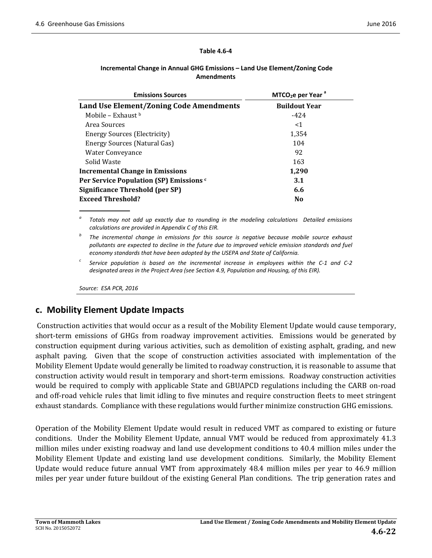#### **Table 4.6‐4**

| <b>Emissions Sources</b>                | $MTCO2e per Yeara$   |
|-----------------------------------------|----------------------|
| Land Use Element/Zoning Code Amendments | <b>Buildout Year</b> |
| Mobile – Exhaust $\frac{b}{b}$          | $-424$               |
| Area Sources                            | $<$ 1                |
| Energy Sources (Electricity)            | 1,354                |
| Energy Sources (Natural Gas)            | 104                  |
| Water Conveyance                        | 92                   |
| Solid Waste                             | 163                  |
| <b>Incremental Change in Emissions</b>  | 1,290                |
| Per Service Population (SP) Emissions c | 3.1                  |
| Significance Threshold (per SP)         | 6.6                  |
| <b>Exceed Threshold?</b>                | N <sub>0</sub>       |

#### **Incremental Change in Annual GHG Emissions – Land Use Element/Zoning Code Amendments**

*<sup>a</sup> Totals may not add up exactly due to rounding in the modeling calculations Detailed emissions calculations are provided in Appendix C of this EIR.*

*<sup>b</sup> The incremental change in emissions for this source is negative because mobile source exhaust pollutants are expected to decline in the future due to improved vehicle emission standards and fuel economy standards that have been adopted by the USEPA and State of California.*

 $\epsilon$  Service population is based on the incremental increase in employees within the C-1 and C-2 *designated areas in the Project Area (see Section 4.9, Population and Housing, of this EIR).*

*Source: ESA PCR, 2016*

# **c. Mobility Element Update Impacts**

Construction activities that would occur as a result of the Mobility Element Update would cause temporary, short-term emissions of GHGs from roadway improvement activities. Emissions would be generated by construction equipment during various activities, such as demolition of existing asphalt, grading, and new asphalt paving. Given that the scope of construction activities associated with implementation of the Mobility Element Update would generally be limited to roadway construction, it is reasonable to assume that construction activity would result in temporary and short-term emissions. Roadway construction activities would be required to comply with applicable State and GBUAPCD regulations including the CARB on-road and off-road vehicle rules that limit idling to five minutes and require construction fleets to meet stringent exhaust standards. Compliance with these regulations would further minimize construction GHG emissions.

Operation of the Mobility Element Update would result in reduced VMT as compared to existing or future conditions. Under the Mobility Element Update, annual VMT would be reduced from approximately 41.3 million miles under existing roadway and land use development conditions to 40.4 million miles under the Mobility Element Update and existing land use development conditions. Similarly, the Mobility Element Update would reduce future annual VMT from approximately 48.4 million miles per year to 46.9 million miles per year under future buildout of the existing General Plan conditions. The trip generation rates and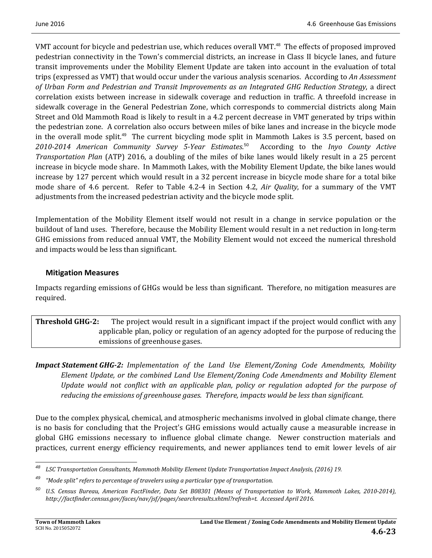VMT account for bicycle and pedestrian use, which reduces overall VMT.<sup>48</sup> The effects of proposed improved pedestrian connectivity in the Town's commercial districts, an increase in Class II bicycle lanes, and future transit improvements under the Mobility Element Update are taken into account in the evaluation of total trips (expressed as VMT) that would occur under the various analysis scenarios. According to *An Assessment of Urban Form and Pedestrian and Transit Improvements as an Integrated GHG Reduction Strategy*, a direct correlation exists between increase in sidewalk coverage and reduction in traffic. A threefold increase in sidewalk coverage in the General Pedestrian Zone, which corresponds to commercial districts along Main Street and Old Mammoth Road is likely to result in a 4.2 percent decrease in VMT generated by trips within the pedestrian zone. A correlation also occurs between miles of bike lanes and increase in the bicycle mode in the overall mode split.<sup>49</sup> The current bicycling mode split in Mammoth Lakes is  $3.5$  percent, based on *2010‐2014 American Community Survey 5‐Year Estimates*. <sup>50</sup> According to the *Inyo County Active Transportation Plan* (ATP) 2016, a doubling of the miles of bike lanes would likely result in a 25 percent increase in bicycle mode share. In Mammoth Lakes, with the Mobility Element Update, the bike lanes would increase by 127 percent which would result in a 32 percent increase in bicycle mode share for a total bike mode share of 4.6 percent. Refer to Table 4.2-4 in Section 4.2, *Air Quality*, for a summary of the VMT adjustments from the increased pedestrian activity and the bicycle mode split.

Implementation of the Mobility Element itself would not result in a change in service population or the buildout of land uses. Therefore, because the Mobility Element would result in a net reduction in long-term GHG emissions from reduced annual VMT, the Mobility Element would not exceed the numerical threshold and impacts would be less than significant.

# **Mitigation Measures**

Impacts regarding emissions of GHGs would be less than significant. Therefore, no mitigation measures are required. 

**Threshold GHG-2:** The project would result in a significant impact if the project would conflict with any applicable plan, policy or regulation of an agency adopted for the purpose of reducing the emissions of greenhouse gases.

*Impact Statement GHG‐2: Implementation of the Land Use Element/Zoning Code Amendments, Mobility Element Update, or the combined Land Use Element/Zoning Code Amendments and Mobility Element Update would not conflict with an applicable plan, policy or regulation adopted for the purpose of reducing the emissions of greenhouse gases. Therefore, impacts would be less than significant.* 

Due to the complex physical, chemical, and atmospheric mechanisms involved in global climate change, there is no basis for concluding that the Project's GHG emissions would actually cause a measurable increase in global GHG emissions necessary to influence global climate change. Newer construction materials and practices, current energy efficiency requirements, and newer appliances tend to emit lower levels of air

*<sup>48</sup> LSC Transportation Consultants, Mammoth Mobility Element Update Transportation Impact Analysis, (2016) 19.*

*<sup>49</sup> "Mode split" refers to percentage of travelers using a particular type of transportation.*

<sup>&</sup>lt;sup>50</sup> U.S. Census Bureau, American FactFinder, Data Set B08301 (Means of Transportation to Work, Mammoth Lakes, 2010-2014), *http://factfinder.census.gov/faces/nav/jsf/pages/searchresults.xhtml?refresh=t. Accessed April 2016.*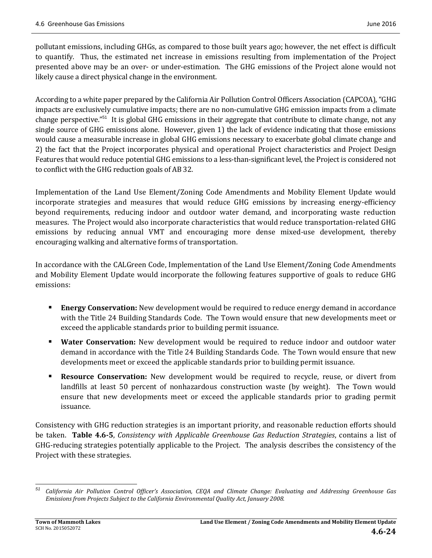pollutant emissions, including GHGs, as compared to those built years ago; however, the net effect is difficult to quantify. Thus, the estimated net increase in emissions resulting from implementation of the Project presented above may be an over- or under-estimation. The GHG emissions of the Project alone would not likely cause a direct physical change in the environment.

According to a white paper prepared by the California Air Pollution Control Officers Association (CAPCOA), "GHG impacts are exclusively cumulative impacts; there are no non-cumulative GHG emission impacts from a climate change perspective."<sup>51</sup> It is global GHG emissions in their aggregate that contribute to climate change, not any single source of GHG emissions alone. However, given 1) the lack of evidence indicating that those emissions would cause a measurable increase in global GHG emissions necessary to exacerbate global climate change and 2) the fact that the Project incorporates physical and operational Project characteristics and Project Design Features that would reduce potential GHG emissions to a less-than-significant level, the Project is considered not to conflict with the GHG reduction goals of AB 32.

Implementation of the Land Use Element/Zoning Code Amendments and Mobility Element Update would incorporate strategies and measures that would reduce GHG emissions by increasing energy-efficiency beyond requirements, reducing indoor and outdoor water demand, and incorporating waste reduction measures. The Project would also incorporate characteristics that would reduce transportation-related GHG emissions by reducing annual VMT and encouraging more dense mixed-use development, thereby encouraging walking and alternative forms of transportation.

In accordance with the CALGreen Code, Implementation of the Land Use Element/Zoning Code Amendments and Mobility Element Update would incorporate the following features supportive of goals to reduce GHG emissions: 

- **Energy Conservation:** New development would be required to reduce energy demand in accordance with the Title 24 Building Standards Code. The Town would ensure that new developments meet or exceed the applicable standards prior to building permit issuance.
- **Water Conservation:** New development would be required to reduce indoor and outdoor water demand in accordance with the Title 24 Building Standards Code. The Town would ensure that new developments meet or exceed the applicable standards prior to building permit issuance.
- **Resource Conservation:** New development would be required to recycle, reuse, or divert from landfills at least 50 percent of nonhazardous construction waste (by weight). The Town would ensure that new developments meet or exceed the applicable standards prior to grading permit issuance.

Consistency with GHG reduction strategies is an important priority, and reasonable reduction efforts should **be** taken. **Table 4.6-5**, *Consistency with Applicable Greenhouse Gas Reduction Strategies, contains a list of* GHG-reducing strategies potentially applicable to the Project. The analysis describes the consistency of the Project with these strategies.

 <sup>51</sup> California Air Pollution Control Officer's Association, CEQA and Climate Change: Evaluating and Addressing Greenhouse Gas *Emissions from Projects Subject to the California Environmental Quality Act, January 2008.*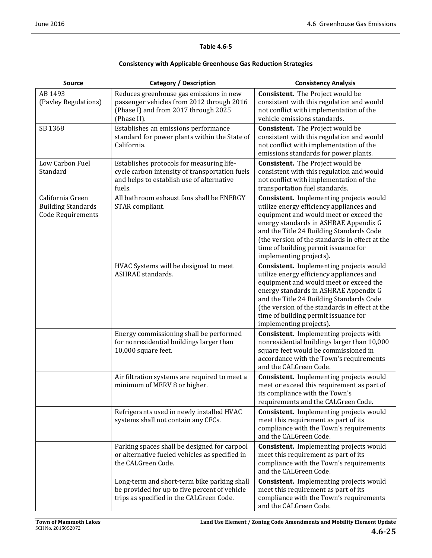#### **Table 4.6‐5**

#### **Consistency with Applicable Greenhouse Gas Reduction Strategies**

| <b>Source</b>                                                      | <b>Category / Description</b>                                                                                                                      | <b>Consistency Analysis</b>                                                                                                                                                                                                                                                                                                                    |
|--------------------------------------------------------------------|----------------------------------------------------------------------------------------------------------------------------------------------------|------------------------------------------------------------------------------------------------------------------------------------------------------------------------------------------------------------------------------------------------------------------------------------------------------------------------------------------------|
| AB 1493<br>(Pavley Regulations)                                    | Reduces greenhouse gas emissions in new<br>passenger vehicles from 2012 through 2016<br>(Phase I) and from 2017 through 2025<br>(Phase II).        | <b>Consistent.</b> The Project would be<br>consistent with this regulation and would<br>not conflict with implementation of the<br>vehicle emissions standards.                                                                                                                                                                                |
| SB 1368                                                            | Establishes an emissions performance<br>standard for power plants within the State of<br>California.                                               | <b>Consistent.</b> The Project would be<br>consistent with this regulation and would<br>not conflict with implementation of the<br>emissions standards for power plants.                                                                                                                                                                       |
| Low Carbon Fuel<br>Standard                                        | Establishes protocols for measuring life-<br>cycle carbon intensity of transportation fuels<br>and helps to establish use of alternative<br>fuels. | <b>Consistent.</b> The Project would be<br>consistent with this regulation and would<br>not conflict with implementation of the<br>transportation fuel standards.                                                                                                                                                                              |
| California Green<br><b>Building Standards</b><br>Code Requirements | All bathroom exhaust fans shall be ENERGY<br>STAR compliant.                                                                                       | Consistent. Implementing projects would<br>utilize energy efficiency appliances and<br>equipment and would meet or exceed the<br>energy standards in ASHRAE Appendix G<br>and the Title 24 Building Standards Code<br>(the version of the standards in effect at the<br>time of building permit issuance for<br>implementing projects).        |
|                                                                    | HVAC Systems will be designed to meet<br><b>ASHRAE</b> standards.                                                                                  | <b>Consistent.</b> Implementing projects would<br>utilize energy efficiency appliances and<br>equipment and would meet or exceed the<br>energy standards in ASHRAE Appendix G<br>and the Title 24 Building Standards Code<br>(the version of the standards in effect at the<br>time of building permit issuance for<br>implementing projects). |
|                                                                    | Energy commissioning shall be performed<br>for nonresidential buildings larger than<br>10,000 square feet.                                         | Consistent. Implementing projects with<br>nonresidential buildings larger than 10,000<br>square feet would be commissioned in<br>accordance with the Town's requirements<br>and the CALGreen Code.                                                                                                                                             |
|                                                                    | Air filtration systems are required to meet a<br>minimum of MERV 8 or higher.                                                                      | Consistent. Implementing projects would<br>meet or exceed this requirement as part of<br>its compliance with the Town's<br>requirements and the CALGreen Code.                                                                                                                                                                                 |
|                                                                    | Refrigerants used in newly installed HVAC<br>systems shall not contain any CFCs.                                                                   | <b>Consistent.</b> Implementing projects would<br>meet this requirement as part of its<br>compliance with the Town's requirements<br>and the CALGreen Code.                                                                                                                                                                                    |
|                                                                    | Parking spaces shall be designed for carpool<br>or alternative fueled vehicles as specified in<br>the CALGreen Code.                               | Consistent. Implementing projects would<br>meet this requirement as part of its<br>compliance with the Town's requirements<br>and the CALGreen Code.                                                                                                                                                                                           |
|                                                                    | Long-term and short-term bike parking shall<br>be provided for up to five percent of vehicle<br>trips as specified in the CALGreen Code.           | <b>Consistent.</b> Implementing projects would<br>meet this requirement as part of its<br>compliance with the Town's requirements<br>and the CALGreen Code.                                                                                                                                                                                    |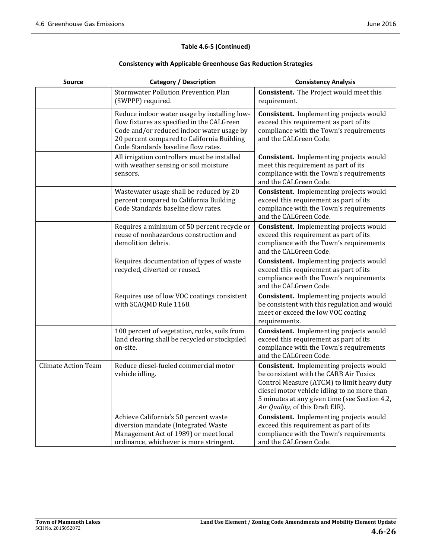#### **Table 4.6‐5 (Continued)**

#### **Consistency with Applicable Greenhouse Gas Reduction Strategies**

| <b>Source</b>              | <b>Category / Description</b>                                                                                                                                                                                                | <b>Consistency Analysis</b>                                                                                                                                                                                                                                                |
|----------------------------|------------------------------------------------------------------------------------------------------------------------------------------------------------------------------------------------------------------------------|----------------------------------------------------------------------------------------------------------------------------------------------------------------------------------------------------------------------------------------------------------------------------|
|                            | <b>Stormwater Pollution Prevention Plan</b><br>(SWPPP) required.                                                                                                                                                             | <b>Consistent.</b> The Project would meet this<br>requirement.                                                                                                                                                                                                             |
|                            | Reduce indoor water usage by installing low-<br>flow fixtures as specified in the CALGreen<br>Code and/or reduced indoor water usage by<br>20 percent compared to California Building<br>Code Standards baseline flow rates. | <b>Consistent.</b> Implementing projects would<br>exceed this requirement as part of its<br>compliance with the Town's requirements<br>and the CALGreen Code.                                                                                                              |
|                            | All irrigation controllers must be installed<br>with weather sensing or soil moisture<br>sensors.                                                                                                                            | <b>Consistent.</b> Implementing projects would<br>meet this requirement as part of its<br>compliance with the Town's requirements<br>and the CALGreen Code.                                                                                                                |
|                            | Wastewater usage shall be reduced by 20<br>percent compared to California Building<br>Code Standards baseline flow rates.                                                                                                    | <b>Consistent.</b> Implementing projects would<br>exceed this requirement as part of its<br>compliance with the Town's requirements<br>and the CALGreen Code.                                                                                                              |
|                            | Requires a minimum of 50 percent recycle or<br>reuse of nonhazardous construction and<br>demolition debris.                                                                                                                  | Consistent. Implementing projects would<br>exceed this requirement as part of its<br>compliance with the Town's requirements<br>and the CALGreen Code.                                                                                                                     |
|                            | Requires documentation of types of waste<br>recycled, diverted or reused.                                                                                                                                                    | <b>Consistent.</b> Implementing projects would<br>exceed this requirement as part of its<br>compliance with the Town's requirements<br>and the CALGreen Code.                                                                                                              |
|                            | Requires use of low VOC coatings consistent<br>with SCAQMD Rule 1168.                                                                                                                                                        | <b>Consistent.</b> Implementing projects would<br>be consistent with this regulation and would<br>meet or exceed the low VOC coating<br>requirements.                                                                                                                      |
|                            | 100 percent of vegetation, rocks, soils from<br>land clearing shall be recycled or stockpiled<br>on-site.                                                                                                                    | Consistent. Implementing projects would<br>exceed this requirement as part of its<br>compliance with the Town's requirements<br>and the CALGreen Code.                                                                                                                     |
| <b>Climate Action Team</b> | Reduce diesel-fueled commercial motor<br>vehicle idling.                                                                                                                                                                     | <b>Consistent.</b> Implementing projects would<br>be consistent with the CARB Air Toxics<br>Control Measure (ATCM) to limit heavy duty<br>diesel motor vehicle idling to no more than<br>5 minutes at any given time (see Section 4.2,<br>Air Quality, of this Draft EIR). |
|                            | Achieve California's 50 percent waste<br>diversion mandate (Integrated Waste<br>Management Act of 1989) or meet local<br>ordinance, whichever is more stringent.                                                             | <b>Consistent.</b> Implementing projects would<br>exceed this requirement as part of its<br>compliance with the Town's requirements<br>and the CALGreen Code.                                                                                                              |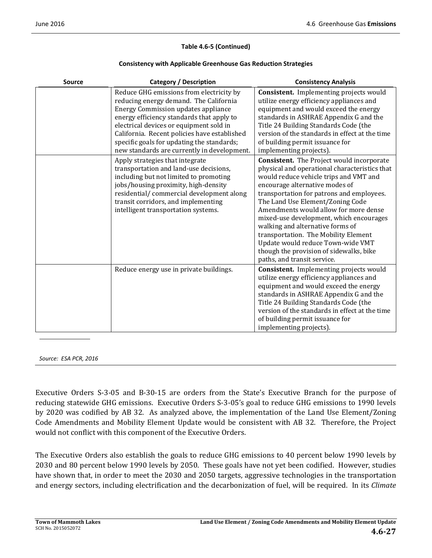#### **Table 4.6‐5 (Continued)**

#### **Consistency with Applicable Greenhouse Gas Reduction Strategies**

| <b>Source</b> | <b>Category / Description</b>                                                                                                                                                                                                                                                                                                                                         | <b>Consistency Analysis</b>                                                                                                                                                                                                                                                                                                                                                                                                                                                                                                                   |
|---------------|-----------------------------------------------------------------------------------------------------------------------------------------------------------------------------------------------------------------------------------------------------------------------------------------------------------------------------------------------------------------------|-----------------------------------------------------------------------------------------------------------------------------------------------------------------------------------------------------------------------------------------------------------------------------------------------------------------------------------------------------------------------------------------------------------------------------------------------------------------------------------------------------------------------------------------------|
|               | Reduce GHG emissions from electricity by<br>reducing energy demand. The California<br><b>Energy Commission updates appliance</b><br>energy efficiency standards that apply to<br>electrical devices or equipment sold in<br>California. Recent policies have established<br>specific goals for updating the standards;<br>new standards are currently in development. | <b>Consistent.</b> Implementing projects would<br>utilize energy efficiency appliances and<br>equipment and would exceed the energy<br>standards in ASHRAE Appendix G and the<br>Title 24 Building Standards Code (the<br>version of the standards in effect at the time<br>of building permit issuance for<br>implementing projects).                                                                                                                                                                                                        |
|               | Apply strategies that integrate<br>transportation and land-use decisions,<br>including but not limited to promoting<br>jobs/housing proximity, high-density<br>residential/commercial development along<br>transit corridors, and implementing<br>intelligent transportation systems.                                                                                 | <b>Consistent.</b> The Project would incorporate<br>physical and operational characteristics that<br>would reduce vehicle trips and VMT and<br>encourage alternative modes of<br>transportation for patrons and employees.<br>The Land Use Element/Zoning Code<br>Amendments would allow for more dense<br>mixed-use development, which encourages<br>walking and alternative forms of<br>transportation. The Mobility Element<br>Update would reduce Town-wide VMT<br>though the provision of sidewalks, bike<br>paths, and transit service. |
|               | Reduce energy use in private buildings.                                                                                                                                                                                                                                                                                                                               | <b>Consistent.</b> Implementing projects would<br>utilize energy efficiency appliances and<br>equipment and would exceed the energy<br>standards in ASHRAE Appendix G and the<br>Title 24 Building Standards Code (the<br>version of the standards in effect at the time<br>of building permit issuance for<br>implementing projects).                                                                                                                                                                                                        |

*Source: ESA PCR, 2016*

Executive Orders S-3-05 and B-30-15 are orders from the State's Executive Branch for the purpose of reducing statewide GHG emissions. Executive Orders S-3-05's goal to reduce GHG emissions to 1990 levels by 2020 was codified by AB 32. As analyzed above, the implementation of the Land Use Element/Zoning Code Amendments and Mobility Element Update would be consistent with AB 32. Therefore, the Project would not conflict with this component of the Executive Orders.

The Executive Orders also establish the goals to reduce GHG emissions to 40 percent below 1990 levels by 2030 and 80 percent below 1990 levels by 2050. These goals have not yet been codified. However, studies have shown that, in order to meet the 2030 and 2050 targets, aggressive technologies in the transportation and energy sectors, including electrification and the decarbonization of fuel, will be required. In its *Climate*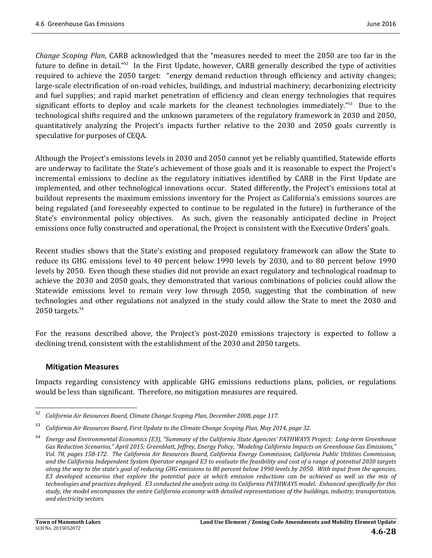*Change Scoping Plan*, CARB acknowledged that the "measures needed to meet the 2050 are too far in the future to define in detail."<sup>52</sup> In the First Update, however, CARB generally described the type of activities required to achieve the 2050 target: "energy demand reduction through efficiency and activity changes; large-scale electrification of on-road vehicles, buildings, and industrial machinery; decarbonizing electricity and fuel supplies; and rapid market penetration of efficiency and clean energy technologies that requires significant efforts to deploy and scale markets for the cleanest technologies immediately."<sup>53</sup> Due to the technological shifts required and the unknown parameters of the regulatory framework in 2030 and 2050, quantitatively analyzing the Project's impacts further relative to the 2030 and 2050 goals currently is speculative for purposes of CEQA.

Although the Project's emissions levels in 2030 and 2050 cannot yet be reliably quantified, Statewide efforts are underway to facilitate the State's achievement of those goals and it is reasonable to expect the Project's incremental emissions to decline as the regulatory initiatives identified by CARB in the First Update are implemented, and other technological innovations occur. Stated differently, the Project's emissions total at buildout represents the maximum emissions inventory for the Project as California's emissions sources are being regulated (and foreseeably expected to continue to be regulated in the future) in furtherance of the State's environmental policy objectives. As such, given the reasonably anticipated decline in Project emissions once fully constructed and operational, the Project is consistent with the Executive Orders' goals.

Recent studies shows that the State's existing and proposed regulatory framework can allow the State to reduce its GHG emissions level to 40 percent below 1990 levels by 2030, and to 80 percent below 1990 levels by 2050. Even though these studies did not provide an exact regulatory and technological roadmap to achieve the 2030 and 2050 goals, they demonstrated that various combinations of policies could allow the Statewide emissions level to remain very low through 2050, suggesting that the combination of new technologies and other regulations not analyzed in the study could allow the State to meet the 2030 and  $2050$  targets. $54$ 

For the reasons described above, the Project's post-2020 emissions trajectory is expected to follow a declining trend, consistent with the establishment of the 2030 and 2050 targets.

# **Mitigation Measures**

<u> 1989 - Johann Stein, fransk politik (d. 1989)</u>

Impacts regarding consistency with applicable GHG emissions reductions plans, policies, or regulations would be less than significant. Therefore, no mitigation measures are required.

*<sup>52</sup> California Air Resources Board, Climate Change Scoping Plan, December 2008, page 117.*

*<sup>53</sup> California Air Resources Board, First Update to the Climate Change Scoping Plan, May 2014, page 32.*

<sup>&</sup>lt;sup>54</sup> Energy and Environmental Economics (E3), "Summary of the California State Agencies' PATHWAYS Project: Long-term Greenhouse Gas Reduction Scenarios," April 2015; Greenblatt, Jeffrey, Energy Policy, "Modeling California Impacts on Greenhouse Gas Emissions," Vol. 78, pages 158-172. The California Air Resources Board, California Energy Commission, California Public Utilities Commission, and the California Independent System Operator engaged E3 to evaluate the feasibility and cost of a range of potential 2030 targets along the way to the state's goal of reducing GHG emissions to 80 percent below 1990 levels by 2050. With input from the agencies, E3 developed scenarios that explore the potential pace at which emission reductions can be achieved as well as the mix of technologies and practices deployed. E3 conducted the analysis using its California PATHWAYS model. Enhanced specifically for this study, the model encompasses the entire California economy with detailed representations of the buildings, industry, transportation, *and electricity sectors.*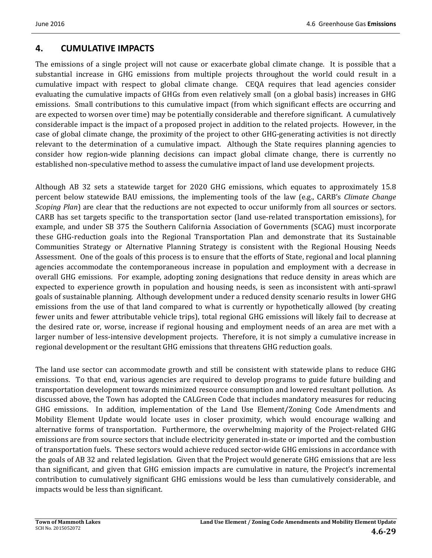# **4. CUMULATIVE IMPACTS**

The emissions of a single project will not cause or exacerbate global climate change. It is possible that a substantial increase in GHG emissions from multiple projects throughout the world could result in a cumulative impact with respect to global climate change. CEQA requires that lead agencies consider evaluating the cumulative impacts of GHGs from even relatively small (on a global basis) increases in GHG emissions. Small contributions to this cumulative impact (from which significant effects are occurring and are expected to worsen over time) may be potentially considerable and therefore significant. A cumulatively considerable impact is the impact of a proposed project in addition to the related projects. However, in the case of global climate change, the proximity of the project to other GHG-generating activities is not directly relevant to the determination of a cumulative impact. Although the State requires planning agencies to consider how region-wide planning decisions can impact global climate change, there is currently no established non-speculative method to assess the cumulative impact of land use development projects.

Although AB 32 sets a statewide target for 2020 GHG emissions, which equates to approximately 15.8 percent below statewide BAU emissions, the implementing tools of the law (e.g., CARB's *Climate Change Scoping Plan*) are clear that the reductions are not expected to occur uniformly from all sources or sectors. CARB has set targets specific to the transportation sector (land use-related transportation emissions), for example, and under SB 375 the Southern California Association of Governments (SCAG) must incorporate these GHG-reduction goals into the Regional Transportation Plan and demonstrate that its Sustainable Communities Strategy or Alternative Planning Strategy is consistent with the Regional Housing Needs Assessment. One of the goals of this process is to ensure that the efforts of State, regional and local planning agencies accommodate the contemporaneous increase in population and employment with a decrease in overall GHG emissions. For example, adopting zoning designations that reduce density in areas which are expected to experience growth in population and housing needs, is seen as inconsistent with anti-sprawl goals of sustainable planning. Although development under a reduced density scenario results in lower GHG emissions from the use of that land compared to what is currently or hypothetically allowed (by creating fewer units and fewer attributable vehicle trips), total regional GHG emissions will likely fail to decrease at the desired rate or, worse, increase if regional housing and employment needs of an area are met with a larger number of less-intensive development projects. Therefore, it is not simply a cumulative increase in regional development or the resultant GHG emissions that threatens GHG reduction goals.

The land use sector can accommodate growth and still be consistent with statewide plans to reduce GHG emissions. To that end, various agencies are required to develop programs to guide future building and transportation development towards minimized resource consumption and lowered resultant pollution. As discussed above, the Town has adopted the CALGreen Code that includes mandatory measures for reducing GHG emissions. In addition, implementation of the Land Use Element/Zoning Code Amendments and Mobility Element Update would locate uses in closer proximity, which would encourage walking and alternative forms of transportation. Furthermore, the overwhelming majority of the Project-related GHG emissions are from source sectors that include electricity generated in-state or imported and the combustion of transportation fuels. These sectors would achieve reduced sector-wide GHG emissions in accordance with the goals of AB 32 and related legislation. Given that the Project would generate GHG emissions that are less than significant, and given that GHG emission impacts are cumulative in nature, the Project's incremental contribution to cumulatively significant GHG emissions would be less than cumulatively considerable, and impacts would be less than significant.